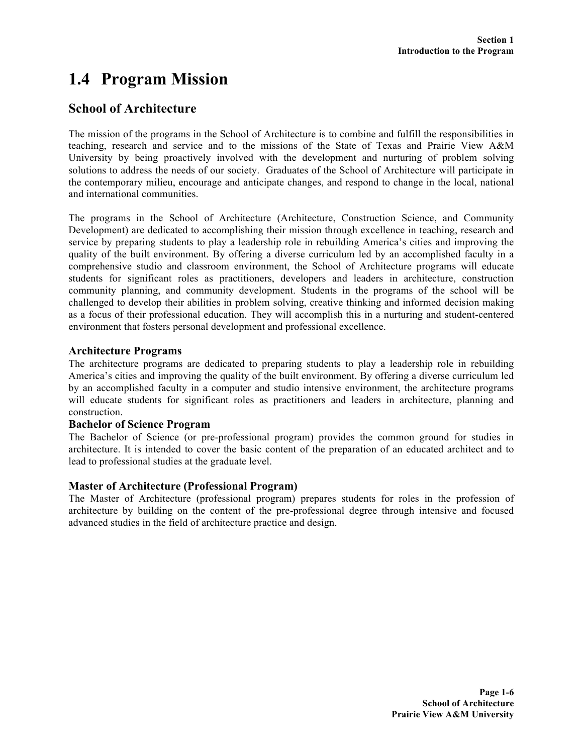# **1.4 Program Mission**

### **School of Architecture**

The mission of the programs in the School of Architecture is to combine and fulfill the responsibilities in teaching, research and service and to the missions of the State of Texas and Prairie View A&M University by being proactively involved with the development and nurturing of problem solving solutions to address the needs of our society. Graduates of the School of Architecture will participate in the contemporary milieu, encourage and anticipate changes, and respond to change in the local, national and international communities.

The programs in the School of Architecture (Architecture, Construction Science, and Community Development) are dedicated to accomplishing their mission through excellence in teaching, research and service by preparing students to play a leadership role in rebuilding America's cities and improving the quality of the built environment. By offering a diverse curriculum led by an accomplished faculty in a comprehensive studio and classroom environment, the School of Architecture programs will educate students for significant roles as practitioners, developers and leaders in architecture, construction community planning, and community development. Students in the programs of the school will be challenged to develop their abilities in problem solving, creative thinking and informed decision making as a focus of their professional education. They will accomplish this in a nurturing and student-centered environment that fosters personal development and professional excellence.

#### **Architecture Programs**

The architecture programs are dedicated to preparing students to play a leadership role in rebuilding America's cities and improving the quality of the built environment. By offering a diverse curriculum led by an accomplished faculty in a computer and studio intensive environment, the architecture programs will educate students for significant roles as practitioners and leaders in architecture, planning and construction.

#### **Bachelor of Science Program**

The Bachelor of Science (or pre-professional program) provides the common ground for studies in architecture. It is intended to cover the basic content of the preparation of an educated architect and to lead to professional studies at the graduate level.

### **Master of Architecture (Professional Program)**

The Master of Architecture (professional program) prepares students for roles in the profession of architecture by building on the content of the pre-professional degree through intensive and focused advanced studies in the field of architecture practice and design.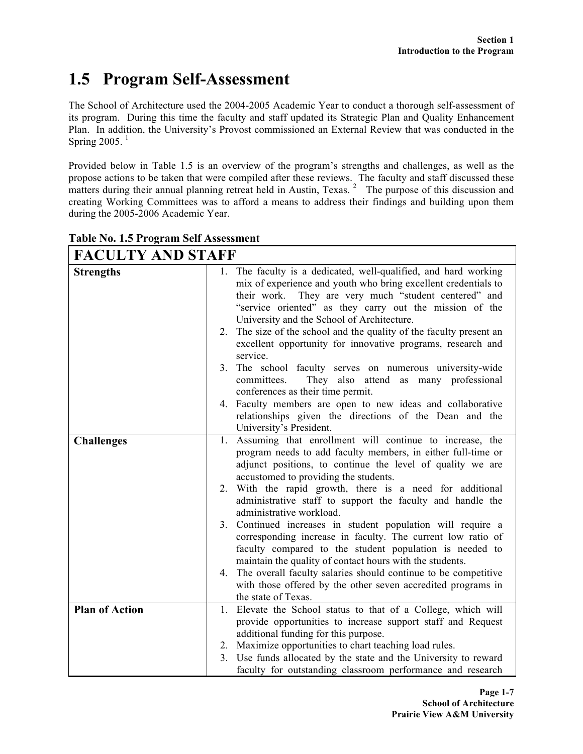# **1.5 Program Self-Assessment**

The School of Architecture used the 2004-2005 Academic Year to conduct a thorough self-assessment of its program. During this time the faculty and staff updated its Strategic Plan and Quality Enhancement Plan. In addition, the University's Provost commissioned an External Review that was conducted in the Spring  $2005$ .<sup>1</sup>

Provided below in Table 1.5 is an overview of the program's strengths and challenges, as well as the propose actions to be taken that were compiled after these reviews. The faculty and staff discussed these matters during their annual planning retreat held in Austin, Texas.  $2\pi$  The purpose of this discussion and creating Working Committees was to afford a means to address their findings and building upon them during the 2005-2006 Academic Year.

| 1. The faculty is a dedicated, well-qualified, and hard working<br><b>Strengths</b><br>mix of experience and youth who bring excellent credentials to<br>They are very much "student centered" and<br>their work.<br>"service oriented" as they carry out the mission of the<br>University and the School of Architecture.<br>2. The size of the school and the quality of the faculty present an<br>excellent opportunity for innovative programs, research and<br>service.<br>3 <sub>1</sub><br>The school faculty serves on numerous university-wide<br>They also attend as many professional<br>committees.<br>conferences as their time permit.<br>4. Faculty members are open to new ideas and collaborative<br>relationships given the directions of the Dean and the<br>University's President.<br>Assuming that enrollment will continue to increase, the<br><b>Challenges</b><br>1.<br>program needs to add faculty members, in either full-time or<br>adjunct positions, to continue the level of quality we are<br>accustomed to providing the students.<br>2. With the rapid growth, there is a need for additional<br>administrative staff to support the faculty and handle the<br>administrative workload.<br>3. Continued increases in student population will require a<br>corresponding increase in faculty. The current low ratio of<br>faculty compared to the student population is needed to<br>maintain the quality of contact hours with the students.<br>The overall faculty salaries should continue to be competitive<br>4.<br>with those offered by the other seven accredited programs in<br>the state of Texas.<br><b>Plan of Action</b><br>Elevate the School status to that of a College, which will<br>1.<br>provide opportunities to increase support staff and Request<br>additional funding for this purpose.<br>Maximize opportunities to chart teaching load rules.<br>2.<br>Use funds allocated by the state and the University to reward<br>3. | <b>FACULTY AND STAFF</b> |                                                            |
|-----------------------------------------------------------------------------------------------------------------------------------------------------------------------------------------------------------------------------------------------------------------------------------------------------------------------------------------------------------------------------------------------------------------------------------------------------------------------------------------------------------------------------------------------------------------------------------------------------------------------------------------------------------------------------------------------------------------------------------------------------------------------------------------------------------------------------------------------------------------------------------------------------------------------------------------------------------------------------------------------------------------------------------------------------------------------------------------------------------------------------------------------------------------------------------------------------------------------------------------------------------------------------------------------------------------------------------------------------------------------------------------------------------------------------------------------------------------------------------------------------------------------------------------------------------------------------------------------------------------------------------------------------------------------------------------------------------------------------------------------------------------------------------------------------------------------------------------------------------------------------------------------------------------------------------------------------------------------------------------|--------------------------|------------------------------------------------------------|
|                                                                                                                                                                                                                                                                                                                                                                                                                                                                                                                                                                                                                                                                                                                                                                                                                                                                                                                                                                                                                                                                                                                                                                                                                                                                                                                                                                                                                                                                                                                                                                                                                                                                                                                                                                                                                                                                                                                                                                                         |                          |                                                            |
|                                                                                                                                                                                                                                                                                                                                                                                                                                                                                                                                                                                                                                                                                                                                                                                                                                                                                                                                                                                                                                                                                                                                                                                                                                                                                                                                                                                                                                                                                                                                                                                                                                                                                                                                                                                                                                                                                                                                                                                         |                          |                                                            |
|                                                                                                                                                                                                                                                                                                                                                                                                                                                                                                                                                                                                                                                                                                                                                                                                                                                                                                                                                                                                                                                                                                                                                                                                                                                                                                                                                                                                                                                                                                                                                                                                                                                                                                                                                                                                                                                                                                                                                                                         |                          |                                                            |
|                                                                                                                                                                                                                                                                                                                                                                                                                                                                                                                                                                                                                                                                                                                                                                                                                                                                                                                                                                                                                                                                                                                                                                                                                                                                                                                                                                                                                                                                                                                                                                                                                                                                                                                                                                                                                                                                                                                                                                                         |                          |                                                            |
|                                                                                                                                                                                                                                                                                                                                                                                                                                                                                                                                                                                                                                                                                                                                                                                                                                                                                                                                                                                                                                                                                                                                                                                                                                                                                                                                                                                                                                                                                                                                                                                                                                                                                                                                                                                                                                                                                                                                                                                         |                          |                                                            |
|                                                                                                                                                                                                                                                                                                                                                                                                                                                                                                                                                                                                                                                                                                                                                                                                                                                                                                                                                                                                                                                                                                                                                                                                                                                                                                                                                                                                                                                                                                                                                                                                                                                                                                                                                                                                                                                                                                                                                                                         |                          |                                                            |
|                                                                                                                                                                                                                                                                                                                                                                                                                                                                                                                                                                                                                                                                                                                                                                                                                                                                                                                                                                                                                                                                                                                                                                                                                                                                                                                                                                                                                                                                                                                                                                                                                                                                                                                                                                                                                                                                                                                                                                                         |                          |                                                            |
|                                                                                                                                                                                                                                                                                                                                                                                                                                                                                                                                                                                                                                                                                                                                                                                                                                                                                                                                                                                                                                                                                                                                                                                                                                                                                                                                                                                                                                                                                                                                                                                                                                                                                                                                                                                                                                                                                                                                                                                         |                          |                                                            |
|                                                                                                                                                                                                                                                                                                                                                                                                                                                                                                                                                                                                                                                                                                                                                                                                                                                                                                                                                                                                                                                                                                                                                                                                                                                                                                                                                                                                                                                                                                                                                                                                                                                                                                                                                                                                                                                                                                                                                                                         |                          |                                                            |
|                                                                                                                                                                                                                                                                                                                                                                                                                                                                                                                                                                                                                                                                                                                                                                                                                                                                                                                                                                                                                                                                                                                                                                                                                                                                                                                                                                                                                                                                                                                                                                                                                                                                                                                                                                                                                                                                                                                                                                                         |                          |                                                            |
|                                                                                                                                                                                                                                                                                                                                                                                                                                                                                                                                                                                                                                                                                                                                                                                                                                                                                                                                                                                                                                                                                                                                                                                                                                                                                                                                                                                                                                                                                                                                                                                                                                                                                                                                                                                                                                                                                                                                                                                         |                          |                                                            |
|                                                                                                                                                                                                                                                                                                                                                                                                                                                                                                                                                                                                                                                                                                                                                                                                                                                                                                                                                                                                                                                                                                                                                                                                                                                                                                                                                                                                                                                                                                                                                                                                                                                                                                                                                                                                                                                                                                                                                                                         |                          |                                                            |
|                                                                                                                                                                                                                                                                                                                                                                                                                                                                                                                                                                                                                                                                                                                                                                                                                                                                                                                                                                                                                                                                                                                                                                                                                                                                                                                                                                                                                                                                                                                                                                                                                                                                                                                                                                                                                                                                                                                                                                                         |                          |                                                            |
|                                                                                                                                                                                                                                                                                                                                                                                                                                                                                                                                                                                                                                                                                                                                                                                                                                                                                                                                                                                                                                                                                                                                                                                                                                                                                                                                                                                                                                                                                                                                                                                                                                                                                                                                                                                                                                                                                                                                                                                         |                          |                                                            |
|                                                                                                                                                                                                                                                                                                                                                                                                                                                                                                                                                                                                                                                                                                                                                                                                                                                                                                                                                                                                                                                                                                                                                                                                                                                                                                                                                                                                                                                                                                                                                                                                                                                                                                                                                                                                                                                                                                                                                                                         |                          |                                                            |
|                                                                                                                                                                                                                                                                                                                                                                                                                                                                                                                                                                                                                                                                                                                                                                                                                                                                                                                                                                                                                                                                                                                                                                                                                                                                                                                                                                                                                                                                                                                                                                                                                                                                                                                                                                                                                                                                                                                                                                                         |                          |                                                            |
|                                                                                                                                                                                                                                                                                                                                                                                                                                                                                                                                                                                                                                                                                                                                                                                                                                                                                                                                                                                                                                                                                                                                                                                                                                                                                                                                                                                                                                                                                                                                                                                                                                                                                                                                                                                                                                                                                                                                                                                         |                          |                                                            |
|                                                                                                                                                                                                                                                                                                                                                                                                                                                                                                                                                                                                                                                                                                                                                                                                                                                                                                                                                                                                                                                                                                                                                                                                                                                                                                                                                                                                                                                                                                                                                                                                                                                                                                                                                                                                                                                                                                                                                                                         |                          |                                                            |
|                                                                                                                                                                                                                                                                                                                                                                                                                                                                                                                                                                                                                                                                                                                                                                                                                                                                                                                                                                                                                                                                                                                                                                                                                                                                                                                                                                                                                                                                                                                                                                                                                                                                                                                                                                                                                                                                                                                                                                                         |                          |                                                            |
|                                                                                                                                                                                                                                                                                                                                                                                                                                                                                                                                                                                                                                                                                                                                                                                                                                                                                                                                                                                                                                                                                                                                                                                                                                                                                                                                                                                                                                                                                                                                                                                                                                                                                                                                                                                                                                                                                                                                                                                         |                          |                                                            |
|                                                                                                                                                                                                                                                                                                                                                                                                                                                                                                                                                                                                                                                                                                                                                                                                                                                                                                                                                                                                                                                                                                                                                                                                                                                                                                                                                                                                                                                                                                                                                                                                                                                                                                                                                                                                                                                                                                                                                                                         |                          |                                                            |
|                                                                                                                                                                                                                                                                                                                                                                                                                                                                                                                                                                                                                                                                                                                                                                                                                                                                                                                                                                                                                                                                                                                                                                                                                                                                                                                                                                                                                                                                                                                                                                                                                                                                                                                                                                                                                                                                                                                                                                                         |                          |                                                            |
|                                                                                                                                                                                                                                                                                                                                                                                                                                                                                                                                                                                                                                                                                                                                                                                                                                                                                                                                                                                                                                                                                                                                                                                                                                                                                                                                                                                                                                                                                                                                                                                                                                                                                                                                                                                                                                                                                                                                                                                         |                          |                                                            |
|                                                                                                                                                                                                                                                                                                                                                                                                                                                                                                                                                                                                                                                                                                                                                                                                                                                                                                                                                                                                                                                                                                                                                                                                                                                                                                                                                                                                                                                                                                                                                                                                                                                                                                                                                                                                                                                                                                                                                                                         |                          |                                                            |
|                                                                                                                                                                                                                                                                                                                                                                                                                                                                                                                                                                                                                                                                                                                                                                                                                                                                                                                                                                                                                                                                                                                                                                                                                                                                                                                                                                                                                                                                                                                                                                                                                                                                                                                                                                                                                                                                                                                                                                                         |                          |                                                            |
|                                                                                                                                                                                                                                                                                                                                                                                                                                                                                                                                                                                                                                                                                                                                                                                                                                                                                                                                                                                                                                                                                                                                                                                                                                                                                                                                                                                                                                                                                                                                                                                                                                                                                                                                                                                                                                                                                                                                                                                         |                          |                                                            |
|                                                                                                                                                                                                                                                                                                                                                                                                                                                                                                                                                                                                                                                                                                                                                                                                                                                                                                                                                                                                                                                                                                                                                                                                                                                                                                                                                                                                                                                                                                                                                                                                                                                                                                                                                                                                                                                                                                                                                                                         |                          |                                                            |
|                                                                                                                                                                                                                                                                                                                                                                                                                                                                                                                                                                                                                                                                                                                                                                                                                                                                                                                                                                                                                                                                                                                                                                                                                                                                                                                                                                                                                                                                                                                                                                                                                                                                                                                                                                                                                                                                                                                                                                                         |                          |                                                            |
|                                                                                                                                                                                                                                                                                                                                                                                                                                                                                                                                                                                                                                                                                                                                                                                                                                                                                                                                                                                                                                                                                                                                                                                                                                                                                                                                                                                                                                                                                                                                                                                                                                                                                                                                                                                                                                                                                                                                                                                         |                          |                                                            |
|                                                                                                                                                                                                                                                                                                                                                                                                                                                                                                                                                                                                                                                                                                                                                                                                                                                                                                                                                                                                                                                                                                                                                                                                                                                                                                                                                                                                                                                                                                                                                                                                                                                                                                                                                                                                                                                                                                                                                                                         |                          |                                                            |
|                                                                                                                                                                                                                                                                                                                                                                                                                                                                                                                                                                                                                                                                                                                                                                                                                                                                                                                                                                                                                                                                                                                                                                                                                                                                                                                                                                                                                                                                                                                                                                                                                                                                                                                                                                                                                                                                                                                                                                                         |                          |                                                            |
|                                                                                                                                                                                                                                                                                                                                                                                                                                                                                                                                                                                                                                                                                                                                                                                                                                                                                                                                                                                                                                                                                                                                                                                                                                                                                                                                                                                                                                                                                                                                                                                                                                                                                                                                                                                                                                                                                                                                                                                         |                          |                                                            |
|                                                                                                                                                                                                                                                                                                                                                                                                                                                                                                                                                                                                                                                                                                                                                                                                                                                                                                                                                                                                                                                                                                                                                                                                                                                                                                                                                                                                                                                                                                                                                                                                                                                                                                                                                                                                                                                                                                                                                                                         |                          | faculty for outstanding classroom performance and research |

**Table No. 1.5 Program Self Assessment**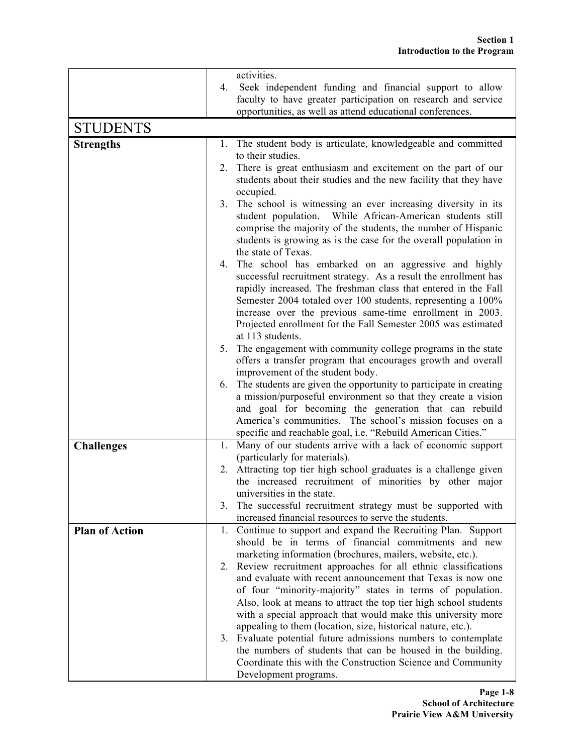|                       | activities.                                                                                                                                                                                 |
|-----------------------|---------------------------------------------------------------------------------------------------------------------------------------------------------------------------------------------|
|                       | Seek independent funding and financial support to allow<br>4.<br>faculty to have greater participation on research and service<br>opportunities, as well as attend educational conferences. |
| <b>STUDENTS</b>       |                                                                                                                                                                                             |
|                       |                                                                                                                                                                                             |
| <b>Strengths</b>      | The student body is articulate, knowledgeable and committed<br>$\mathbf{I}$ .                                                                                                               |
|                       | to their studies.                                                                                                                                                                           |
|                       | There is great enthusiasm and excitement on the part of our<br>2.<br>students about their studies and the new facility that they have                                                       |
|                       | occupied.                                                                                                                                                                                   |
|                       | 3. The school is witnessing an ever increasing diversity in its                                                                                                                             |
|                       | While African-American students still<br>student population.                                                                                                                                |
|                       | comprise the majority of the students, the number of Hispanic                                                                                                                               |
|                       | students is growing as is the case for the overall population in                                                                                                                            |
|                       | the state of Texas.                                                                                                                                                                         |
|                       | The school has embarked on an aggressive and highly<br>4.                                                                                                                                   |
|                       | successful recruitment strategy. As a result the enrollment has                                                                                                                             |
|                       | rapidly increased. The freshman class that entered in the Fall<br>Semester 2004 totaled over 100 students, representing a 100%                                                              |
|                       | increase over the previous same-time enrollment in 2003.                                                                                                                                    |
|                       | Projected enrollment for the Fall Semester 2005 was estimated                                                                                                                               |
|                       | at 113 students.                                                                                                                                                                            |
|                       | The engagement with community college programs in the state<br>5.                                                                                                                           |
|                       | offers a transfer program that encourages growth and overall                                                                                                                                |
|                       | improvement of the student body.                                                                                                                                                            |
|                       | The students are given the opportunity to participate in creating<br>6.                                                                                                                     |
|                       | a mission/purposeful environment so that they create a vision                                                                                                                               |
|                       | and goal for becoming the generation that can rebuild                                                                                                                                       |
|                       | America's communities. The school's mission focuses on a                                                                                                                                    |
|                       | specific and reachable goal, i.e. "Rebuild American Cities."                                                                                                                                |
| <b>Challenges</b>     | 1. Many of our students arrive with a lack of economic support<br>(particularly for materials).                                                                                             |
|                       | Attracting top tier high school graduates is a challenge given<br>2.                                                                                                                        |
|                       | the increased recruitment of minorities by other major                                                                                                                                      |
|                       | universities in the state.                                                                                                                                                                  |
|                       | The successful recruitment strategy must be supported with<br>3.                                                                                                                            |
|                       | increased financial resources to serve the students.                                                                                                                                        |
| <b>Plan of Action</b> | 1. Continue to support and expand the Recruiting Plan. Support                                                                                                                              |
|                       | should be in terms of financial commitments and new                                                                                                                                         |
|                       | marketing information (brochures, mailers, website, etc.).                                                                                                                                  |
|                       | 2. Review recruitment approaches for all ethnic classifications                                                                                                                             |
|                       | and evaluate with recent announcement that Texas is now one<br>of four "minority-majority" states in terms of population.                                                                   |
|                       | Also, look at means to attract the top tier high school students                                                                                                                            |
|                       | with a special approach that would make this university more                                                                                                                                |
|                       | appealing to them (location, size, historical nature, etc.).                                                                                                                                |
|                       | 3. Evaluate potential future admissions numbers to contemplate                                                                                                                              |
|                       | the numbers of students that can be housed in the building.                                                                                                                                 |
|                       | Coordinate this with the Construction Science and Community                                                                                                                                 |
|                       | Development programs.                                                                                                                                                                       |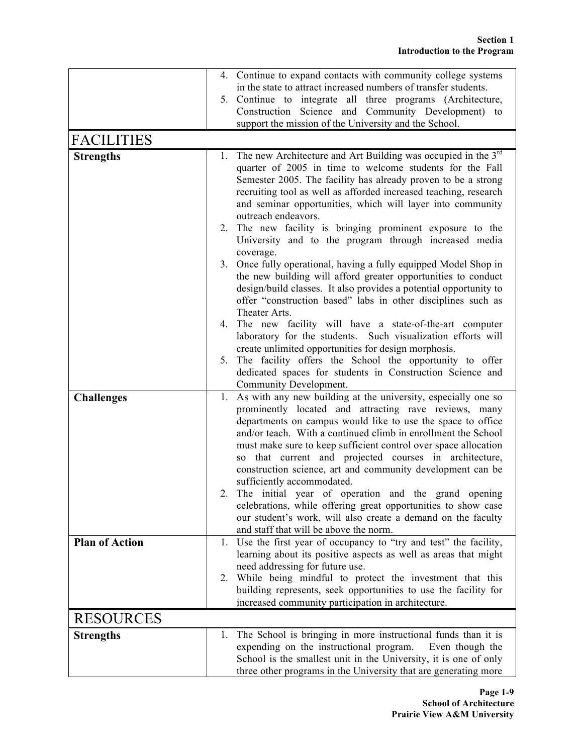|                       |    | 4. Continue to expand contacts with community college systems                                                                  |
|-----------------------|----|--------------------------------------------------------------------------------------------------------------------------------|
|                       |    | in the state to attract increased numbers of transfer students.                                                                |
|                       |    | 5. Continue to integrate all three programs (Architecture,                                                                     |
|                       |    | Construction Science and Community Development) to                                                                             |
|                       |    | support the mission of the University and the School.                                                                          |
| <b>FACILITIES</b>     |    |                                                                                                                                |
| <b>Strengths</b>      |    | 1. The new Architecture and Art Building was occupied in the 3 <sup>rd</sup>                                                   |
|                       |    | quarter of 2005 in time to welcome students for the Fall                                                                       |
|                       |    | Semester 2005. The facility has already proven to be a strong                                                                  |
|                       |    | recruiting tool as well as afforded increased teaching, research                                                               |
|                       |    | and seminar opportunities, which will layer into community<br>outreach endeavors.                                              |
|                       |    | 2. The new facility is bringing prominent exposure to the                                                                      |
|                       |    | University and to the program through increased media                                                                          |
|                       |    | coverage.                                                                                                                      |
|                       |    | 3. Once fully operational, having a fully equipped Model Shop in                                                               |
|                       |    | the new building will afford greater opportunities to conduct                                                                  |
|                       |    | design/build classes. It also provides a potential opportunity to                                                              |
|                       |    | offer "construction based" labs in other disciplines such as                                                                   |
|                       |    | Theater Arts.                                                                                                                  |
|                       | 4. | The new facility will have a state-of-the-art computer                                                                         |
|                       |    | laboratory for the students. Such visualization efforts will                                                                   |
|                       | 5. | create unlimited opportunities for design morphosis.<br>The facility offers the School the opportunity to offer                |
|                       |    | dedicated spaces for students in Construction Science and                                                                      |
|                       |    | Community Development.                                                                                                         |
| <b>Challenges</b>     | 1. | As with any new building at the university, especially one so                                                                  |
|                       |    | prominently located and attracting rave reviews, many                                                                          |
|                       |    | departments on campus would like to use the space to office                                                                    |
|                       |    | and/or teach. With a continued climb in enrollment the School                                                                  |
|                       |    | must make sure to keep sufficient control over space allocation                                                                |
|                       |    | that current and projected courses in architecture,<br>SO -                                                                    |
|                       |    | construction science, art and community development can be<br>sufficiently accommodated.                                       |
|                       |    | The initial year of operation and the grand opening                                                                            |
|                       |    | celebrations, while offering great opportunities to show case                                                                  |
|                       |    | our student's work, will also create a demand on the faculty                                                                   |
|                       |    | and staff that will be above the norm.                                                                                         |
| <b>Plan of Action</b> |    | 1. Use the first year of occupancy to "try and test" the facility,                                                             |
|                       |    | learning about its positive aspects as well as areas that might                                                                |
|                       |    | need addressing for future use.                                                                                                |
|                       |    | 2. While being mindful to protect the investment that this                                                                     |
|                       |    | building represents, seek opportunities to use the facility for<br>increased community participation in architecture.          |
|                       |    |                                                                                                                                |
| <b>RESOURCES</b>      |    |                                                                                                                                |
| <b>Strengths</b>      |    | 1. The School is bringing in more instructional funds than it is                                                               |
|                       |    | expending on the instructional program.<br>Even though the<br>School is the smallest unit in the University, it is one of only |
|                       |    | three other programs in the University that are generating more                                                                |
|                       |    |                                                                                                                                |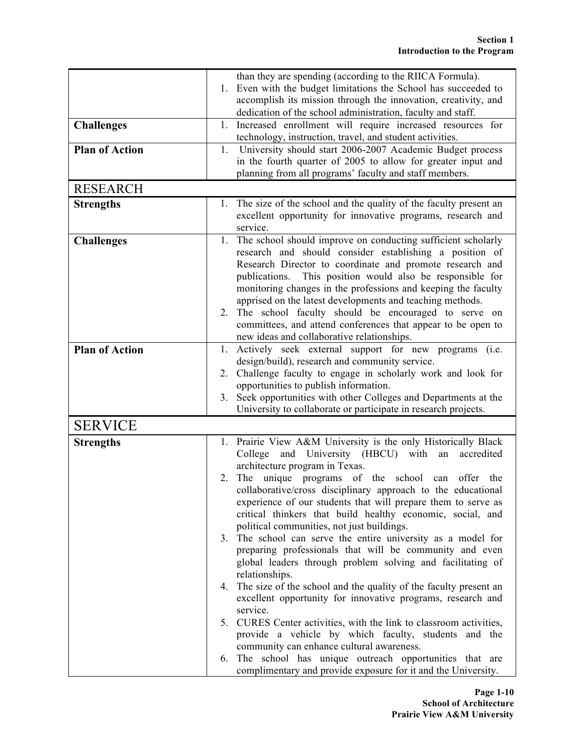|                       |    | than they are spending (according to the RIICA Formula).                                                                           |
|-----------------------|----|------------------------------------------------------------------------------------------------------------------------------------|
|                       |    | 1. Even with the budget limitations the School has succeeded to                                                                    |
|                       |    | accomplish its mission through the innovation, creativity, and                                                                     |
|                       |    | dedication of the school administration, faculty and staff.                                                                        |
| <b>Challenges</b>     |    | 1. Increased enrollment will require increased resources for                                                                       |
|                       |    | technology, instruction, travel, and student activities.                                                                           |
| <b>Plan of Action</b> | 1. | University should start 2006-2007 Academic Budget process                                                                          |
|                       |    | in the fourth quarter of 2005 to allow for greater input and                                                                       |
|                       |    | planning from all programs' faculty and staff members.                                                                             |
| <b>RESEARCH</b>       |    |                                                                                                                                    |
| <b>Strengths</b>      |    | 1. The size of the school and the quality of the faculty present an                                                                |
|                       |    | excellent opportunity for innovative programs, research and                                                                        |
|                       |    | service.                                                                                                                           |
| <b>Challenges</b>     | 1. | The school should improve on conducting sufficient scholarly                                                                       |
|                       |    | research and should consider establishing a position of                                                                            |
|                       |    | Research Director to coordinate and promote research and                                                                           |
|                       |    | publications. This position would also be responsible for                                                                          |
|                       |    | monitoring changes in the professions and keeping the faculty                                                                      |
|                       |    | apprised on the latest developments and teaching methods.                                                                          |
|                       | 2. | The school faculty should be encouraged to serve<br>on                                                                             |
|                       |    | committees, and attend conferences that appear to be open to                                                                       |
|                       |    | new ideas and collaborative relationships.                                                                                         |
| <b>Plan of Action</b> | 1. | Actively seek external support for new programs (i.e.                                                                              |
|                       |    | design/build), research and community service.                                                                                     |
|                       | 2. | Challenge faculty to engage in scholarly work and look for                                                                         |
|                       |    | opportunities to publish information.                                                                                              |
|                       | 3. | Seek opportunities with other Colleges and Departments at the<br>University to collaborate or participate in research projects.    |
|                       |    |                                                                                                                                    |
| <b>SERVICE</b>        |    |                                                                                                                                    |
| <b>Strengths</b>      |    | 1. Prairie View A&M University is the only Historically Black                                                                      |
|                       |    | College and University (HBCU) with<br>accredited<br>an                                                                             |
|                       |    | architecture program in Texas.                                                                                                     |
|                       | 2. | The unique programs of the school<br>can<br>offer<br>the                                                                           |
|                       |    | collaborative/cross disciplinary approach to the educational                                                                       |
|                       |    | experience of our students that will prepare them to serve as                                                                      |
|                       |    | critical thinkers that build healthy economic, social, and                                                                         |
|                       |    | political communities, not just buildings.                                                                                         |
|                       | 3. | The school can serve the entire university as a model for                                                                          |
|                       |    | preparing professionals that will be community and even                                                                            |
|                       |    | global leaders through problem solving and facilitating of                                                                         |
|                       |    | relationships.                                                                                                                     |
|                       |    | 4. The size of the school and the quality of the faculty present an<br>excellent opportunity for innovative programs, research and |
|                       |    | service.                                                                                                                           |
|                       |    | 5. CURES Center activities, with the link to classroom activities,                                                                 |
|                       |    | provide a vehicle by which faculty, students and the                                                                               |
|                       |    | community can enhance cultural awareness.                                                                                          |
|                       | 6. | The school has unique outreach opportunities that are                                                                              |
|                       |    | complimentary and provide exposure for it and the University.                                                                      |
|                       |    |                                                                                                                                    |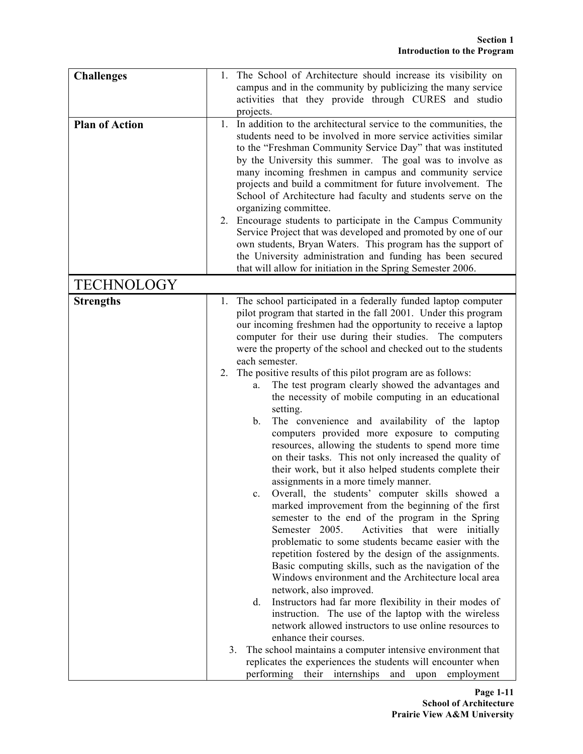| <b>Challenges</b><br><b>Plan of Action</b> | The School of Architecture should increase its visibility on<br>1.<br>campus and in the community by publicizing the many service<br>activities that they provide through CURES and studio<br>projects.<br>In addition to the architectural service to the communities, the<br>1.<br>students need to be involved in more service activities similar<br>to the "Freshman Community Service Day" that was instituted<br>by the University this summer. The goal was to involve as<br>many incoming freshmen in campus and community service<br>projects and build a commitment for future involvement. The<br>School of Architecture had faculty and students serve on the<br>organizing committee.<br>Encourage students to participate in the Campus Community<br>2.<br>Service Project that was developed and promoted by one of our<br>own students, Bryan Waters. This program has the support of<br>the University administration and funding has been secured<br>that will allow for initiation in the Spring Semester 2006.                                                                                                                                                                                                                                                                                                                                                                                                                                                                                                                                                                                                                                                                                                                                          |
|--------------------------------------------|-----------------------------------------------------------------------------------------------------------------------------------------------------------------------------------------------------------------------------------------------------------------------------------------------------------------------------------------------------------------------------------------------------------------------------------------------------------------------------------------------------------------------------------------------------------------------------------------------------------------------------------------------------------------------------------------------------------------------------------------------------------------------------------------------------------------------------------------------------------------------------------------------------------------------------------------------------------------------------------------------------------------------------------------------------------------------------------------------------------------------------------------------------------------------------------------------------------------------------------------------------------------------------------------------------------------------------------------------------------------------------------------------------------------------------------------------------------------------------------------------------------------------------------------------------------------------------------------------------------------------------------------------------------------------------------------------------------------------------------------------------------------------------|
| <b>TECHNOLOGY</b>                          |                                                                                                                                                                                                                                                                                                                                                                                                                                                                                                                                                                                                                                                                                                                                                                                                                                                                                                                                                                                                                                                                                                                                                                                                                                                                                                                                                                                                                                                                                                                                                                                                                                                                                                                                                                             |
| <b>Strengths</b>                           | The school participated in a federally funded laptop computer<br>1.<br>pilot program that started in the fall 2001. Under this program<br>our incoming freshmen had the opportunity to receive a laptop<br>computer for their use during their studies. The computers<br>were the property of the school and checked out to the students<br>each semester.<br>The positive results of this pilot program are as follows:<br>2.<br>The test program clearly showed the advantages and<br>a.<br>the necessity of mobile computing in an educational<br>setting.<br>The convenience and availability of the laptop<br>b.<br>computers provided more exposure to computing<br>resources, allowing the students to spend more time<br>on their tasks. This not only increased the quality of<br>their work, but it also helped students complete their<br>assignments in a more timely manner.<br>Overall, the students' computer skills showed a<br>marked improvement from the beginning of the first<br>semester to the end of the program in the Spring<br>Activities that were initially<br>Semester 2005.<br>problematic to some students became easier with the<br>repetition fostered by the design of the assignments.<br>Basic computing skills, such as the navigation of the<br>Windows environment and the Architecture local area<br>network, also improved.<br>Instructors had far more flexibility in their modes of<br>d.<br>instruction. The use of the laptop with the wireless<br>network allowed instructors to use online resources to<br>enhance their courses.<br>The school maintains a computer intensive environment that<br>3.<br>replicates the experiences the students will encounter when<br>performing their internships and upon<br>employment |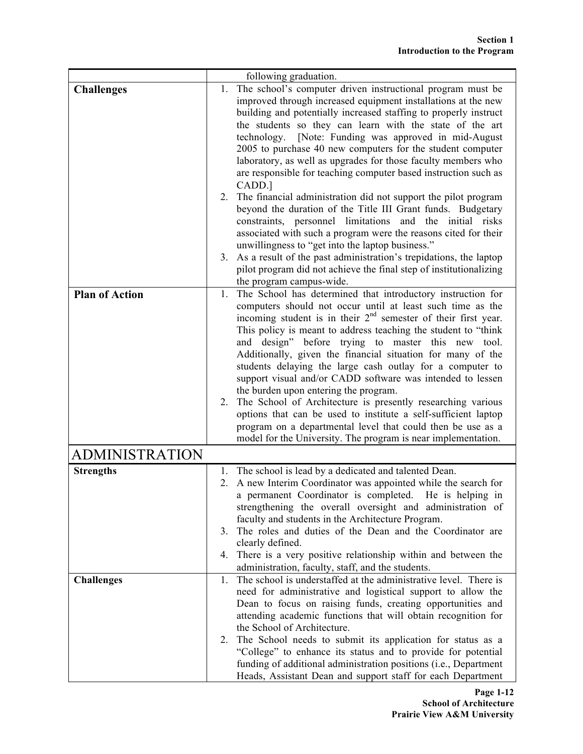|                       |    | following graduation.                                                                                                         |
|-----------------------|----|-------------------------------------------------------------------------------------------------------------------------------|
| <b>Challenges</b>     | 1. | The school's computer driven instructional program must be                                                                    |
|                       |    | improved through increased equipment installations at the new                                                                 |
|                       |    | building and potentially increased staffing to properly instruct                                                              |
|                       |    | the students so they can learn with the state of the art                                                                      |
|                       |    | technology. [Note: Funding was approved in mid-August                                                                         |
|                       |    | 2005 to purchase 40 new computers for the student computer                                                                    |
|                       |    | laboratory, as well as upgrades for those faculty members who                                                                 |
|                       |    | are responsible for teaching computer based instruction such as                                                               |
|                       |    | CADD.]                                                                                                                        |
|                       | 2. | The financial administration did not support the pilot program<br>beyond the duration of the Title III Grant funds. Budgetary |
|                       |    | constraints, personnel limitations and the initial risks                                                                      |
|                       |    | associated with such a program were the reasons cited for their                                                               |
|                       |    | unwillingness to "get into the laptop business."                                                                              |
|                       |    | 3. As a result of the past administration's trepidations, the laptop                                                          |
|                       |    | pilot program did not achieve the final step of institutionalizing                                                            |
|                       |    | the program campus-wide.                                                                                                      |
| <b>Plan of Action</b> | 1. | The School has determined that introductory instruction for                                                                   |
|                       |    | computers should not occur until at least such time as the                                                                    |
|                       |    | incoming student is in their $2nd$ semester of their first year.                                                              |
|                       |    | This policy is meant to address teaching the student to "think                                                                |
|                       |    | and design" before trying to master this new tool.                                                                            |
|                       |    | Additionally, given the financial situation for many of the                                                                   |
|                       |    | students delaying the large cash outlay for a computer to<br>support visual and/or CADD software was intended to lessen       |
|                       |    | the burden upon entering the program.                                                                                         |
|                       |    | 2. The School of Architecture is presently researching various                                                                |
|                       |    | options that can be used to institute a self-sufficient laptop                                                                |
|                       |    | program on a departmental level that could then be use as a                                                                   |
|                       |    | model for the University. The program is near implementation.                                                                 |
| ADMINISTRATION        |    |                                                                                                                               |
| <b>Strengths</b>      |    | 1. The school is lead by a dedicated and talented Dean.                                                                       |
|                       |    | 2. A new Interim Coordinator was appointed while the search for                                                               |
|                       |    | a permanent Coordinator is completed. He is helping in                                                                        |
|                       |    | strengthening the overall oversight and administration of                                                                     |
|                       |    | faculty and students in the Architecture Program.                                                                             |
|                       | 3. | The roles and duties of the Dean and the Coordinator are                                                                      |
|                       |    | clearly defined.                                                                                                              |
|                       |    | 4. There is a very positive relationship within and between the                                                               |
| <b>Challenges</b>     | 1. | administration, faculty, staff, and the students.<br>The school is understaffed at the administrative level. There is         |
|                       |    | need for administrative and logistical support to allow the                                                                   |
|                       |    | Dean to focus on raising funds, creating opportunities and                                                                    |
|                       |    | attending academic functions that will obtain recognition for                                                                 |
|                       |    | the School of Architecture.                                                                                                   |
|                       | 2. | The School needs to submit its application for status as a                                                                    |
|                       |    | "College" to enhance its status and to provide for potential                                                                  |
|                       |    | funding of additional administration positions (i.e., Department                                                              |
|                       |    | Heads, Assistant Dean and support staff for each Department                                                                   |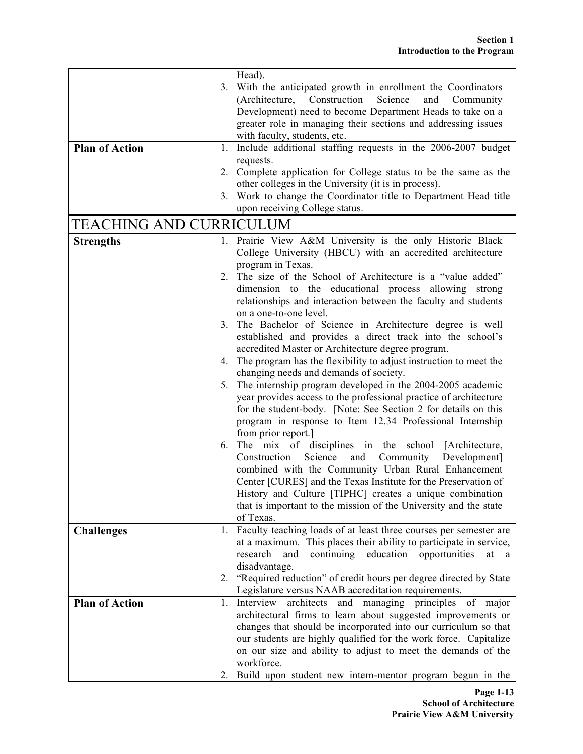|                         |    | Head).                                                                                                                   |
|-------------------------|----|--------------------------------------------------------------------------------------------------------------------------|
|                         |    | 3. With the anticipated growth in enrollment the Coordinators                                                            |
|                         |    | (Architecture, Construction<br>Science<br>and<br>Community                                                               |
|                         |    | Development) need to become Department Heads to take on a                                                                |
|                         |    | greater role in managing their sections and addressing issues                                                            |
|                         |    | with faculty, students, etc.                                                                                             |
| <b>Plan of Action</b>   | 1. | Include additional staffing requests in the 2006-2007 budget                                                             |
|                         |    | requests.                                                                                                                |
|                         |    | 2. Complete application for College status to be the same as the                                                         |
|                         |    | other colleges in the University (it is in process).                                                                     |
|                         |    | 3. Work to change the Coordinator title to Department Head title                                                         |
|                         |    | upon receiving College status.                                                                                           |
| TEACHING AND CURRICULUM |    |                                                                                                                          |
| <b>Strengths</b>        |    | 1. Prairie View A&M University is the only Historic Black                                                                |
|                         |    | College University (HBCU) with an accredited architecture                                                                |
|                         |    | program in Texas.                                                                                                        |
|                         |    | 2. The size of the School of Architecture is a "value added"                                                             |
|                         |    | dimension to the educational process allowing strong                                                                     |
|                         |    | relationships and interaction between the faculty and students                                                           |
|                         |    | on a one-to-one level.                                                                                                   |
|                         | 3. | The Bachelor of Science in Architecture degree is well<br>established and provides a direct track into the school's      |
|                         |    | accredited Master or Architecture degree program.                                                                        |
|                         | 4. | The program has the flexibility to adjust instruction to meet the                                                        |
|                         |    | changing needs and demands of society.                                                                                   |
|                         | 5. | The internship program developed in the 2004-2005 academic                                                               |
|                         |    | year provides access to the professional practice of architecture                                                        |
|                         |    | for the student-body. [Note: See Section 2 for details on this                                                           |
|                         |    | program in response to Item 12.34 Professional Internship                                                                |
|                         |    | from prior report.]                                                                                                      |
|                         | 6. | The mix of disciplines in the school [Architecture,                                                                      |
|                         |    | Science<br>and<br>Community<br>Development]<br>Construction                                                              |
|                         |    | combined with the Community Urban Rural Enhancement                                                                      |
|                         |    | Center [CURES] and the Texas Institute for the Preservation of                                                           |
|                         |    | History and Culture [TIPHC] creates a unique combination                                                                 |
|                         |    | that is important to the mission of the University and the state                                                         |
|                         |    | of Texas.                                                                                                                |
| <b>Challenges</b>       | 1. | Faculty teaching loads of at least three courses per semester are                                                        |
|                         |    | at a maximum. This places their ability to participate in service,                                                       |
|                         |    | research<br>continuing<br>education opportunities<br>and<br>at<br>a                                                      |
|                         |    | disadvantage.                                                                                                            |
|                         |    | 2. "Required reduction" of credit hours per degree directed by State                                                     |
| <b>Plan of Action</b>   | 1. | Legislature versus NAAB accreditation requirements.<br>Interview<br>architects<br>and managing<br>principles of<br>major |
|                         |    | architectural firms to learn about suggested improvements or                                                             |
|                         |    | changes that should be incorporated into our curriculum so that                                                          |
|                         |    | our students are highly qualified for the work force. Capitalize                                                         |
|                         |    | on our size and ability to adjust to meet the demands of the                                                             |
|                         |    | workforce.                                                                                                               |
|                         |    | Build upon student new intern-mentor program begun in the                                                                |
|                         |    |                                                                                                                          |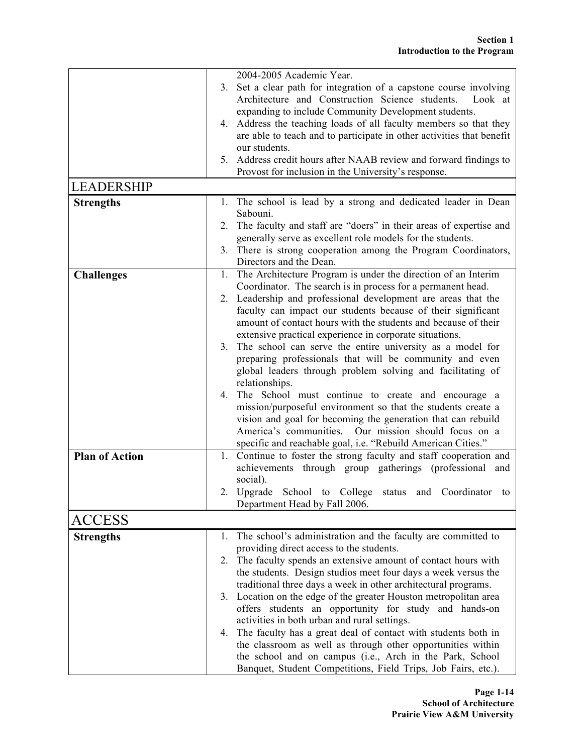|                       |    | 2004-2005 Academic Year.                                                                      |
|-----------------------|----|-----------------------------------------------------------------------------------------------|
|                       | 3. | Set a clear path for integration of a capstone course involving                               |
|                       |    | Architecture and Construction Science students.<br>Look at                                    |
|                       |    | expanding to include Community Development students.                                          |
|                       |    | 4. Address the teaching loads of all faculty members so that they                             |
|                       |    | are able to teach and to participate in other activities that benefit                         |
|                       |    | our students.                                                                                 |
|                       |    | 5. Address credit hours after NAAB review and forward findings to                             |
|                       |    | Provost for inclusion in the University's response.                                           |
| <b>LEADERSHIP</b>     |    |                                                                                               |
| <b>Strengths</b>      | 1. | The school is lead by a strong and dedicated leader in Dean                                   |
|                       |    | Sabouni.                                                                                      |
|                       |    | 2. The faculty and staff are "doers" in their areas of expertise and                          |
|                       |    | generally serve as excellent role models for the students.                                    |
|                       |    | 3. There is strong cooperation among the Program Coordinators,                                |
|                       |    | Directors and the Dean.                                                                       |
| <b>Challenges</b>     |    | 1. The Architecture Program is under the direction of an Interim                              |
|                       |    | Coordinator. The search is in process for a permanent head.                                   |
|                       |    | 2. Leadership and professional development are areas that the                                 |
|                       |    | faculty can impact our students because of their significant                                  |
|                       |    | amount of contact hours with the students and because of their                                |
|                       |    | extensive practical experience in corporate situations.                                       |
|                       |    | 3. The school can serve the entire university as a model for                                  |
|                       |    | preparing professionals that will be community and even                                       |
|                       |    | global leaders through problem solving and facilitating of                                    |
|                       |    | relationships.                                                                                |
|                       |    | 4. The School must continue to create and encourage a                                         |
|                       |    | mission/purposeful environment so that the students create a                                  |
|                       |    | vision and goal for becoming the generation that can rebuild<br>Our mission should focus on a |
|                       |    | America's communities.                                                                        |
| <b>Plan of Action</b> |    | specific and reachable goal, i.e. "Rebuild American Cities."                                  |
|                       |    | 1. Continue to foster the strong faculty and staff cooperation and                            |
|                       |    | achievements through group gatherings (professional and                                       |
|                       |    | social).<br>2. Upgrade School to College status and Coordinator to                            |
|                       |    | Department Head by Fall 2006.                                                                 |
|                       |    |                                                                                               |
| ACCESS                |    |                                                                                               |
| <b>Strengths</b>      | 1. | The school's administration and the faculty are committed to                                  |
|                       |    | providing direct access to the students.                                                      |
|                       | 2. | The faculty spends an extensive amount of contact hours with                                  |
|                       |    | the students. Design studios meet four days a week versus the                                 |
|                       |    | traditional three days a week in other architectural programs.                                |
|                       | 3. | Location on the edge of the greater Houston metropolitan area                                 |
|                       |    | offers students an opportunity for study and hands-on                                         |
|                       |    | activities in both urban and rural settings.                                                  |
|                       | 4. | The faculty has a great deal of contact with students both in                                 |
|                       |    | the classroom as well as through other opportunities within                                   |
|                       |    | the school and on campus (i.e., Arch in the Park, School                                      |
|                       |    | Banquet, Student Competitions, Field Trips, Job Fairs, etc.).                                 |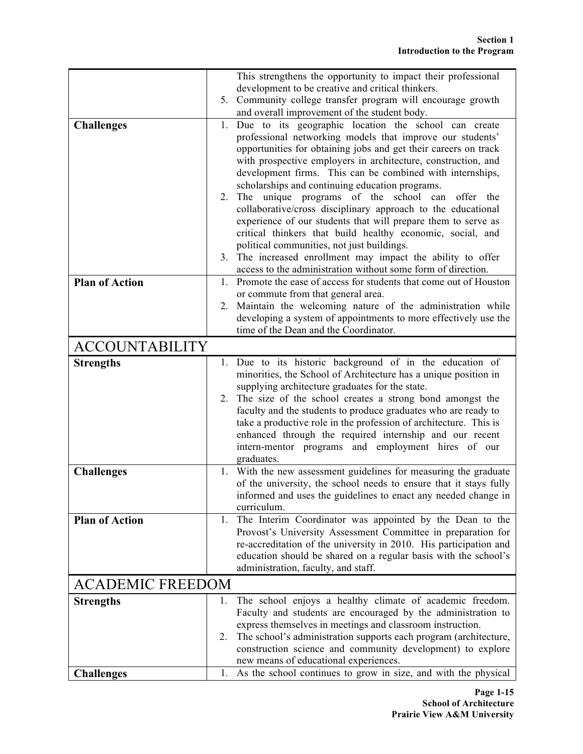|                         |    | This strengthens the opportunity to impact their professional                                                                 |
|-------------------------|----|-------------------------------------------------------------------------------------------------------------------------------|
|                         |    | development to be creative and critical thinkers.                                                                             |
|                         | 5. | Community college transfer program will encourage growth                                                                      |
|                         |    | and overall improvement of the student body.                                                                                  |
| <b>Challenges</b>       | 1. | Due to its geographic location the school can create                                                                          |
|                         |    | professional networking models that improve our students'                                                                     |
|                         |    | opportunities for obtaining jobs and get their careers on track                                                               |
|                         |    | with prospective employers in architecture, construction, and<br>development firms. This can be combined with internships,    |
|                         |    | scholarships and continuing education programs.                                                                               |
|                         | 2. | The unique programs of the school can offer the                                                                               |
|                         |    | collaborative/cross disciplinary approach to the educational                                                                  |
|                         |    | experience of our students that will prepare them to serve as                                                                 |
|                         |    | critical thinkers that build healthy economic, social, and                                                                    |
|                         |    | political communities, not just buildings.                                                                                    |
|                         | 3. | The increased enrollment may impact the ability to offer                                                                      |
|                         |    | access to the administration without some form of direction.                                                                  |
| <b>Plan of Action</b>   | 1. | Promote the ease of access for students that come out of Houston                                                              |
|                         | 2. | or commute from that general area.<br>Maintain the welcoming nature of the administration while                               |
|                         |    | developing a system of appointments to more effectively use the                                                               |
|                         |    | time of the Dean and the Coordinator.                                                                                         |
| <b>ACCOUNTABILITY</b>   |    |                                                                                                                               |
|                         |    |                                                                                                                               |
| <b>Strengths</b>        | 1. | Due to its historic background of in the education of<br>minorities, the School of Architecture has a unique position in      |
|                         |    | supplying architecture graduates for the state.                                                                               |
|                         | 2. | The size of the school creates a strong bond amongst the                                                                      |
|                         |    | faculty and the students to produce graduates who are ready to                                                                |
|                         |    | take a productive role in the profession of architecture. This is                                                             |
|                         |    | enhanced through the required internship and our recent                                                                       |
|                         |    | intern-mentor programs and employment hires of our                                                                            |
| <b>Challenges</b>       | 1. | graduates.<br>With the new assessment guidelines for measuring the graduate                                                   |
|                         |    | of the university, the school needs to ensure that it stays fully                                                             |
|                         |    | informed and uses the guidelines to enact any needed change in                                                                |
|                         |    | curriculum.                                                                                                                   |
| <b>Plan of Action</b>   | 1. | The Interim Coordinator was appointed by the Dean to the                                                                      |
|                         |    | Provost's University Assessment Committee in preparation for                                                                  |
|                         |    | re-accreditation of the university in 2010. His participation and                                                             |
|                         |    | education should be shared on a regular basis with the school's<br>administration, faculty, and staff.                        |
|                         |    |                                                                                                                               |
| <b>ACADEMIC FREEDOM</b> |    |                                                                                                                               |
| <b>Strengths</b>        | 1. | The school enjoys a healthy climate of academic freedom.                                                                      |
|                         |    | Faculty and students are encouraged by the administration to                                                                  |
|                         | 2. | express themselves in meetings and classroom instruction.<br>The school's administration supports each program (architecture, |
|                         |    | construction science and community development) to explore                                                                    |
|                         |    | new means of educational experiences.                                                                                         |
| <b>Challenges</b>       | 1. | As the school continues to grow in size, and with the physical                                                                |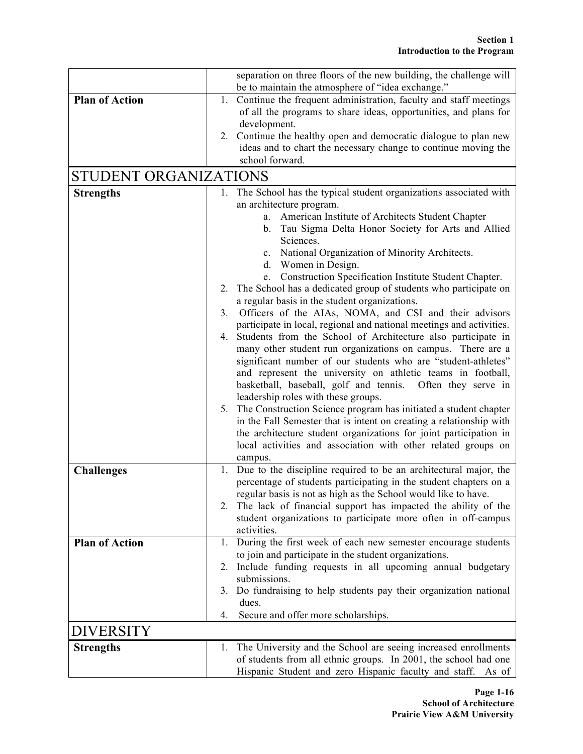|                       | separation on three floors of the new building, the challenge will                                                          |
|-----------------------|-----------------------------------------------------------------------------------------------------------------------------|
|                       | be to maintain the atmosphere of "idea exchange."                                                                           |
| <b>Plan of Action</b> | Continue the frequent administration, faculty and staff meetings<br>1.                                                      |
|                       | of all the programs to share ideas, opportunities, and plans for                                                            |
|                       | development.                                                                                                                |
|                       | Continue the healthy open and democratic dialogue to plan new<br>2.                                                         |
|                       | ideas and to chart the necessary change to continue moving the                                                              |
|                       | school forward.                                                                                                             |
| STUDENT ORGANIZATIONS |                                                                                                                             |
| <b>Strengths</b>      | 1. The School has the typical student organizations associated with                                                         |
|                       | an architecture program.                                                                                                    |
|                       | American Institute of Architects Student Chapter<br>a.                                                                      |
|                       | Tau Sigma Delta Honor Society for Arts and Allied<br>b.                                                                     |
|                       | Sciences.                                                                                                                   |
|                       | National Organization of Minority Architects.<br>$c_{\cdot}$                                                                |
|                       | d. Women in Design.                                                                                                         |
|                       | e. Construction Specification Institute Student Chapter.                                                                    |
|                       | 2. The School has a dedicated group of students who participate on                                                          |
|                       | a regular basis in the student organizations.                                                                               |
|                       | Officers of the AIAs, NOMA, and CSI and their advisors<br>3.                                                                |
|                       | participate in local, regional and national meetings and activities.<br>4.                                                  |
|                       | Students from the School of Architecture also participate in<br>many other student run organizations on campus. There are a |
|                       | significant number of our students who are "student-athletes"                                                               |
|                       | and represent the university on athletic teams in football,                                                                 |
|                       | basketball, baseball, golf and tennis. Often they serve in                                                                  |
|                       | leadership roles with these groups.                                                                                         |
|                       | 5. The Construction Science program has initiated a student chapter                                                         |
|                       | in the Fall Semester that is intent on creating a relationship with                                                         |
|                       | the architecture student organizations for joint participation in                                                           |
|                       | local activities and association with other related groups on                                                               |
|                       | campus.                                                                                                                     |
| <b>Challenges</b>     | Due to the discipline required to be an architectural major, the<br>1.                                                      |
|                       | percentage of students participating in the student chapters on a                                                           |
|                       | regular basis is not as high as the School would like to have.                                                              |
|                       | The lack of financial support has impacted the ability of the                                                               |
|                       | student organizations to participate more often in off-campus                                                               |
|                       | activities.                                                                                                                 |
| <b>Plan of Action</b> | During the first week of each new semester encourage students<br>1.                                                         |
|                       | to join and participate in the student organizations.                                                                       |
|                       | Include funding requests in all upcoming annual budgetary<br>2.                                                             |
|                       | submissions.                                                                                                                |
|                       | Do fundraising to help students pay their organization national<br>3.                                                       |
|                       | dues.                                                                                                                       |
|                       | Secure and offer more scholarships.<br>4.                                                                                   |
| <b>DIVERSITY</b>      |                                                                                                                             |
| <b>Strengths</b>      | The University and the School are seeing increased enrollments<br>Ι.                                                        |
|                       | of students from all ethnic groups. In 2001, the school had one                                                             |
|                       | Hispanic Student and zero Hispanic faculty and staff.<br>As of                                                              |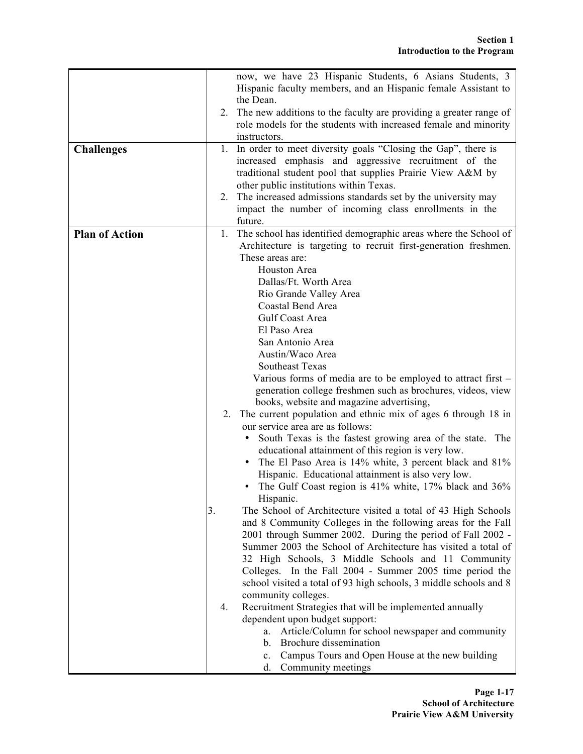|                       |    | now, we have 23 Hispanic Students, 6 Asians Students, 3              |
|-----------------------|----|----------------------------------------------------------------------|
|                       |    | Hispanic faculty members, and an Hispanic female Assistant to        |
|                       |    | the Dean.                                                            |
|                       |    |                                                                      |
|                       |    | 2. The new additions to the faculty are providing a greater range of |
|                       |    | role models for the students with increased female and minority      |
|                       |    | instructors.                                                         |
| <b>Challenges</b>     | 1. | In order to meet diversity goals "Closing the Gap", there is         |
|                       |    | increased emphasis and aggressive recruitment of the                 |
|                       |    | traditional student pool that supplies Prairie View A&M by           |
|                       |    | other public institutions within Texas.                              |
|                       |    | 2. The increased admissions standards set by the university may      |
|                       |    | impact the number of incoming class enrollments in the               |
|                       |    | future.                                                              |
| <b>Plan of Action</b> | 1. | The school has identified demographic areas where the School of      |
|                       |    | Architecture is targeting to recruit first-generation freshmen.      |
|                       |    | These areas are:                                                     |
|                       |    | Houston Area                                                         |
|                       |    | Dallas/Ft. Worth Area                                                |
|                       |    | Rio Grande Valley Area                                               |
|                       |    | Coastal Bend Area                                                    |
|                       |    | Gulf Coast Area                                                      |
|                       |    |                                                                      |
|                       |    | El Paso Area                                                         |
|                       |    | San Antonio Area                                                     |
|                       |    | Austin/Waco Area                                                     |
|                       |    | Southeast Texas                                                      |
|                       |    | Various forms of media are to be employed to attract first -         |
|                       |    | generation college freshmen such as brochures, videos, view          |
|                       |    | books, website and magazine advertising,                             |
|                       | 2. | The current population and ethnic mix of ages 6 through 18 in        |
|                       |    | our service area are as follows:                                     |
|                       |    | South Texas is the fastest growing area of the state. The            |
|                       |    | educational attainment of this region is very low.                   |
|                       |    | The El Paso Area is 14% white, 3 percent black and 81%               |
|                       |    | Hispanic. Educational attainment is also very low.                   |
|                       |    | The Gulf Coast region is 41% white, 17% black and 36%                |
|                       |    | Hispanic.                                                            |
|                       | 3. | The School of Architecture visited a total of 43 High Schools        |
|                       |    | and 8 Community Colleges in the following areas for the Fall         |
|                       |    | 2001 through Summer 2002. During the period of Fall 2002 -           |
|                       |    | Summer 2003 the School of Architecture has visited a total of        |
|                       |    | 32 High Schools, 3 Middle Schools and 11 Community                   |
|                       |    | Colleges. In the Fall 2004 - Summer 2005 time period the             |
|                       |    | school visited a total of 93 high schools, 3 middle schools and 8    |
|                       |    | community colleges.                                                  |
|                       | 4. | Recruitment Strategies that will be implemented annually             |
|                       |    |                                                                      |
|                       |    | dependent upon budget support:                                       |
|                       |    | Article/Column for school newspaper and community<br>a.              |
|                       |    | b. Brochure dissemination                                            |
|                       |    | c. Campus Tours and Open House at the new building                   |
|                       |    | d. Community meetings                                                |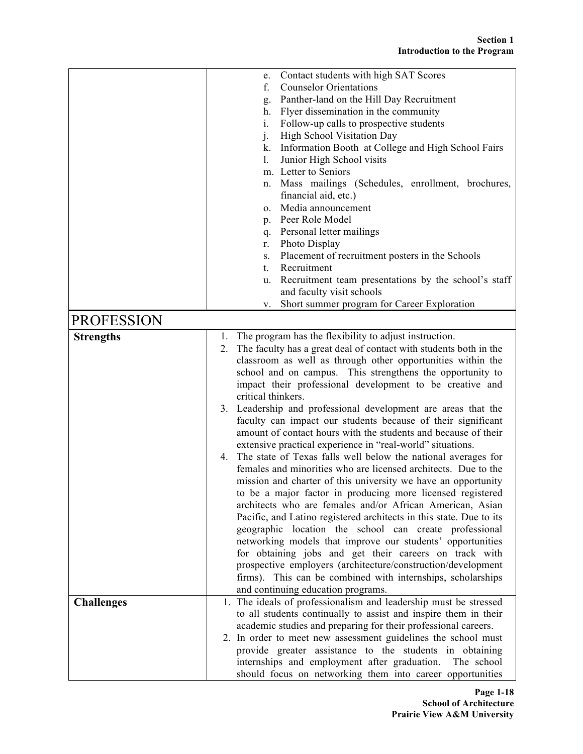|                   | Contact students with high SAT Scores<br>e.                                                                                   |
|-------------------|-------------------------------------------------------------------------------------------------------------------------------|
|                   | <b>Counselor Orientations</b><br>f.                                                                                           |
|                   | Panther-land on the Hill Day Recruitment<br>g.                                                                                |
|                   | Flyer dissemination in the community<br>h.                                                                                    |
|                   | Follow-up calls to prospective students<br>i.                                                                                 |
|                   | j.<br>High School Visitation Day                                                                                              |
|                   | Information Booth at College and High School Fairs<br>k.                                                                      |
|                   | Junior High School visits<br>1.                                                                                               |
|                   | m. Letter to Seniors                                                                                                          |
|                   | Mass mailings (Schedules, enrollment, brochures,<br>n.                                                                        |
|                   | financial aid, etc.)                                                                                                          |
|                   | Media announcement<br>0.                                                                                                      |
|                   | p. Peer Role Model                                                                                                            |
|                   | q. Personal letter mailings                                                                                                   |
|                   | Photo Display<br>r.                                                                                                           |
|                   | Placement of recruitment posters in the Schools<br>S.                                                                         |
|                   | Recruitment<br>t.                                                                                                             |
|                   | Recruitment team presentations by the school's staff<br>u.                                                                    |
|                   | and faculty visit schools                                                                                                     |
|                   | Short summer program for Career Exploration<br>V.                                                                             |
| <b>PROFESSION</b> |                                                                                                                               |
| <b>Strengths</b>  | The program has the flexibility to adjust instruction.                                                                        |
|                   | 1.<br>The faculty has a great deal of contact with students both in the<br>2.                                                 |
|                   | classroom as well as through other opportunities within the                                                                   |
|                   | school and on campus. This strengthens the opportunity to                                                                     |
|                   |                                                                                                                               |
|                   | impact their professional development to be creative and<br>critical thinkers.                                                |
|                   | 3. Leadership and professional development are areas that the                                                                 |
|                   | faculty can impact our students because of their significant                                                                  |
|                   | amount of contact hours with the students and because of their                                                                |
|                   | extensive practical experience in "real-world" situations.                                                                    |
|                   | 4. The state of Texas falls well below the national averages for                                                              |
|                   | females and minorities who are licensed architects. Due to the                                                                |
|                   | mission and charter of this university we have an opportunity                                                                 |
|                   | to be a major factor in producing more licensed registered                                                                    |
|                   | architects who are females and/or African American, Asian                                                                     |
|                   |                                                                                                                               |
|                   | Pacific, and Latino registered architects in this state. Due to its<br>geographic location the school can create professional |
|                   | networking models that improve our students' opportunities                                                                    |
|                   |                                                                                                                               |
|                   | for obtaining jobs and get their careers on track with                                                                        |
|                   | prospective employers (architecture/construction/development<br>firms). This can be combined with internships, scholarships   |
|                   |                                                                                                                               |
|                   | and continuing education programs.<br>1. The ideals of professionalism and leadership must be stressed                        |
| <b>Challenges</b> | to all students continually to assist and inspire them in their                                                               |
|                   | academic studies and preparing for their professional careers.                                                                |
|                   | 2. In order to meet new assessment guidelines the school must                                                                 |
|                   |                                                                                                                               |
|                   | provide greater assistance to the students in obtaining                                                                       |
|                   | internships and employment after graduation. The school                                                                       |
|                   | should focus on networking them into career opportunities                                                                     |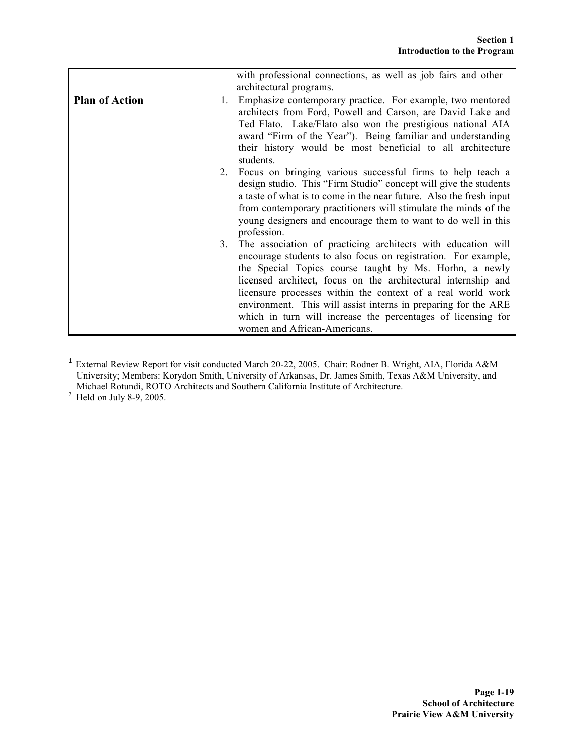|                       | with professional connections, as well as job fairs and other                                                                                                                                                                                                                                                                                                                                                                                                                                    |
|-----------------------|--------------------------------------------------------------------------------------------------------------------------------------------------------------------------------------------------------------------------------------------------------------------------------------------------------------------------------------------------------------------------------------------------------------------------------------------------------------------------------------------------|
|                       | architectural programs.                                                                                                                                                                                                                                                                                                                                                                                                                                                                          |
| <b>Plan of Action</b> | Emphasize contemporary practice. For example, two mentored<br>1.<br>architects from Ford, Powell and Carson, are David Lake and<br>Ted Flato. Lake/Flato also won the prestigious national AIA<br>award "Firm of the Year"). Being familiar and understanding<br>their history would be most beneficial to all architecture<br>students.                                                                                                                                                         |
|                       | Focus on bringing various successful firms to help teach a<br>2.<br>design studio. This "Firm Studio" concept will give the students<br>a taste of what is to come in the near future. Also the fresh input<br>from contemporary practitioners will stimulate the minds of the<br>young designers and encourage them to want to do well in this<br>profession.                                                                                                                                   |
|                       | The association of practicing architects with education will<br>3.<br>encourage students to also focus on registration. For example,<br>the Special Topics course taught by Ms. Horhn, a newly<br>licensed architect, focus on the architectural internship and<br>licensure processes within the context of a real world work<br>environment. This will assist interns in preparing for the ARE<br>which in turn will increase the percentages of licensing for<br>women and African-Americans. |

 <sup>1</sup> External Review Report for visit conducted March 20-22, 2005. Chair: Rodner B. Wright, AIA, Florida A&M University; Members: Korydon Smith, University of Arkansas, Dr. James Smith, Texas A&M University, and Michael Rotundi, ROTO Architects and Southern California Institute of Architecture.<sup>2</sup> Held on July 8-9, 2005.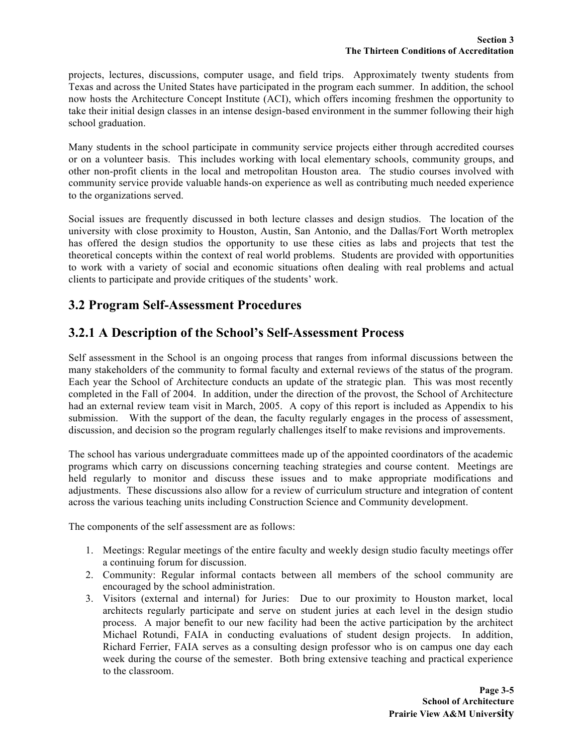projects, lectures, discussions, computer usage, and field trips. Approximately twenty students from Texas and across the United States have participated in the program each summer. In addition, the school now hosts the Architecture Concept Institute (ACI), which offers incoming freshmen the opportunity to take their initial design classes in an intense design-based environment in the summer following their high school graduation.

Many students in the school participate in community service projects either through accredited courses or on a volunteer basis. This includes working with local elementary schools, community groups, and other non-profit clients in the local and metropolitan Houston area. The studio courses involved with community service provide valuable hands-on experience as well as contributing much needed experience to the organizations served.

Social issues are frequently discussed in both lecture classes and design studios. The location of the university with close proximity to Houston, Austin, San Antonio, and the Dallas/Fort Worth metroplex has offered the design studios the opportunity to use these cities as labs and projects that test the theoretical concepts within the context of real world problems. Students are provided with opportunities to work with a variety of social and economic situations often dealing with real problems and actual clients to participate and provide critiques of the students' work.

# **3.2 Program Self-Assessment Procedures**

## **3.2.1 A Description of the School's Self-Assessment Process**

Self assessment in the School is an ongoing process that ranges from informal discussions between the many stakeholders of the community to formal faculty and external reviews of the status of the program. Each year the School of Architecture conducts an update of the strategic plan. This was most recently completed in the Fall of 2004. In addition, under the direction of the provost, the School of Architecture had an external review team visit in March, 2005. A copy of this report is included as Appendix to his submission. With the support of the dean, the faculty regularly engages in the process of assessment, discussion, and decision so the program regularly challenges itself to make revisions and improvements.

The school has various undergraduate committees made up of the appointed coordinators of the academic programs which carry on discussions concerning teaching strategies and course content. Meetings are held regularly to monitor and discuss these issues and to make appropriate modifications and adjustments. These discussions also allow for a review of curriculum structure and integration of content across the various teaching units including Construction Science and Community development.

The components of the self assessment are as follows:

- 1. Meetings: Regular meetings of the entire faculty and weekly design studio faculty meetings offer a continuing forum for discussion.
- 2. Community: Regular informal contacts between all members of the school community are encouraged by the school administration.
- 3. Visitors (external and internal) for Juries: Due to our proximity to Houston market, local architects regularly participate and serve on student juries at each level in the design studio process. A major benefit to our new facility had been the active participation by the architect Michael Rotundi, FAIA in conducting evaluations of student design projects. In addition, Richard Ferrier, FAIA serves as a consulting design professor who is on campus one day each week during the course of the semester. Both bring extensive teaching and practical experience to the classroom.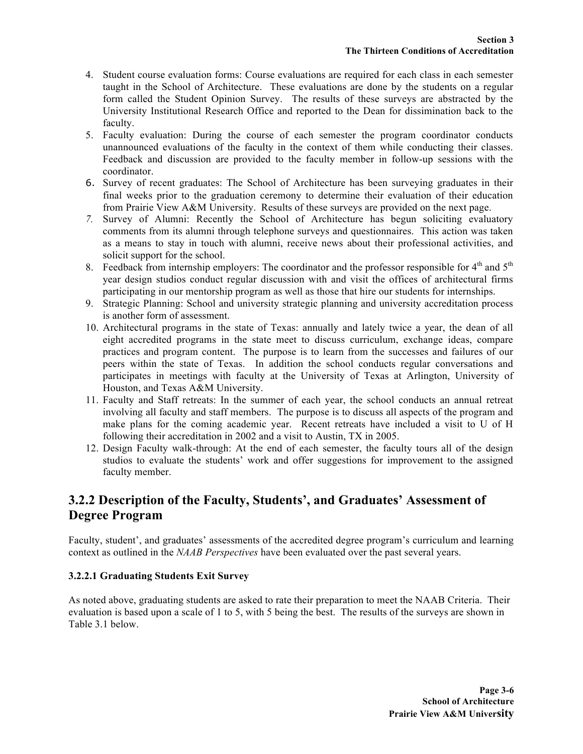- 4. Student course evaluation forms: Course evaluations are required for each class in each semester taught in the School of Architecture. These evaluations are done by the students on a regular form called the Student Opinion Survey. The results of these surveys are abstracted by the University Institutional Research Office and reported to the Dean for dissimination back to the faculty.
- 5. Faculty evaluation: During the course of each semester the program coordinator conducts unannounced evaluations of the faculty in the context of them while conducting their classes. Feedback and discussion are provided to the faculty member in follow-up sessions with the coordinator.
- 6. Survey of recent graduates: The School of Architecture has been surveying graduates in their final weeks prior to the graduation ceremony to determine their evaluation of their education from Prairie View A&M University. Results of these surveys are provided on the next page.
- *7.* Survey of Alumni: Recently the School of Architecture has begun soliciting evaluatory comments from its alumni through telephone surveys and questionnaires. This action was taken as a means to stay in touch with alumni, receive news about their professional activities, and solicit support for the school.
- 8. Feedback from internship employers: The coordinator and the professor responsible for  $4<sup>th</sup>$  and  $5<sup>th</sup>$ year design studios conduct regular discussion with and visit the offices of architectural firms participating in our mentorship program as well as those that hire our students for internships.
- 9. Strategic Planning: School and university strategic planning and university accreditation process is another form of assessment.
- 10. Architectural programs in the state of Texas: annually and lately twice a year, the dean of all eight accredited programs in the state meet to discuss curriculum, exchange ideas, compare practices and program content. The purpose is to learn from the successes and failures of our peers within the state of Texas. In addition the school conducts regular conversations and participates in meetings with faculty at the University of Texas at Arlington, University of Houston, and Texas A&M University.
- 11. Faculty and Staff retreats: In the summer of each year, the school conducts an annual retreat involving all faculty and staff members. The purpose is to discuss all aspects of the program and make plans for the coming academic year. Recent retreats have included a visit to U of H following their accreditation in 2002 and a visit to Austin, TX in 2005.
- 12. Design Faculty walk-through: At the end of each semester, the faculty tours all of the design studios to evaluate the students' work and offer suggestions for improvement to the assigned faculty member.

# **3.2.2 Description of the Faculty, Students', and Graduates' Assessment of Degree Program**

Faculty, student', and graduates' assessments of the accredited degree program's curriculum and learning context as outlined in the *NAAB Perspectives* have been evaluated over the past several years.

### **3.2.2.1 Graduating Students Exit Survey**

As noted above, graduating students are asked to rate their preparation to meet the NAAB Criteria. Their evaluation is based upon a scale of 1 to 5, with 5 being the best. The results of the surveys are shown in Table 3.1 below.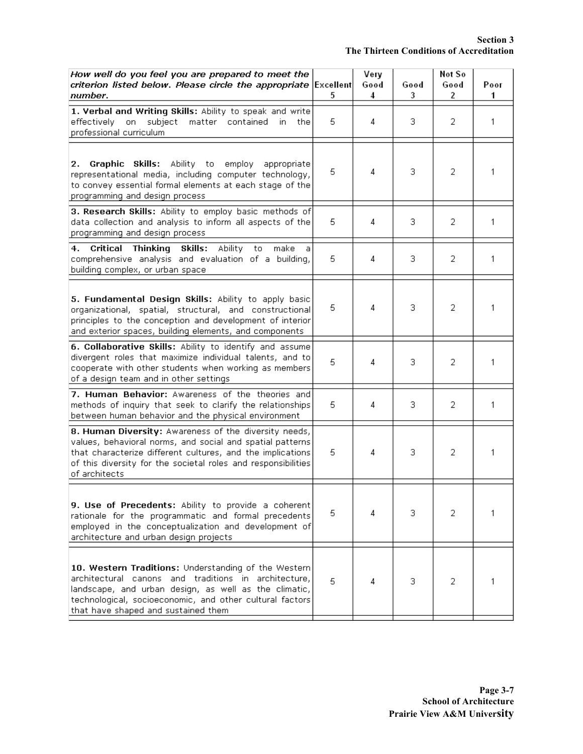| How well do you feel you are prepared to meet the<br>criterion listed below. Please circle the appropriate Excellent                                                                                                                                                     |    | Very<br>Good | Good | Not So<br>Good | Poor |
|--------------------------------------------------------------------------------------------------------------------------------------------------------------------------------------------------------------------------------------------------------------------------|----|--------------|------|----------------|------|
| number.                                                                                                                                                                                                                                                                  | 5  | 4            | 3    | 2              | 1.   |
| 1. Verbal and Writing Skills: Ability to speak and write<br>effectively on subject matter contained<br>in.<br>the<br>professional curriculum                                                                                                                             | 5  | 4            | 3.   | 2              | 1    |
| Graphic Skills: Ability to employ<br>2.<br>appropriate<br>representational media, including computer technology,<br>to convey essential formal elements at each stage of the<br>programming and design process                                                           | 5  | 4            | з.   | 2              | 1    |
| 3. Research Skills: Ability to employ basic methods of<br>data collection and analysis to inform all aspects of the<br>programming and design process                                                                                                                    | 5  | 4            | 3    | 2              | 1    |
| Critical Thinking Skills: Ability to<br>4.<br>make<br>-a<br>comprehensive analysis and evaluation of a building,<br>building complex, or urban space                                                                                                                     | 5  | 4            | 3    | 2              | 1    |
| 5. Fundamental Design Skills: Ability to apply basic<br>organizational, spatial, structural, and constructional<br>principles to the conception and development of interior<br>and exterior spaces, building elements, and components                                    | 5. | 4            | з.   | 2              | 1    |
| 6. Collaborative Skills: Ability to identify and assume<br>divergent roles that maximize individual talents, and to<br>cooperate with other students when working as members<br>of a design team and in other settings                                                   | 5  | 4            | з    | 2              | 1    |
| 7. Human Behavior: Awareness of the theories and<br>methods of inquiry that seek to clarify the relationships<br>between human behavior and the physical environment                                                                                                     |    | 4            | з    | 2              | 1    |
| 8. Human Diversity: Awareness of the diversity needs,<br>values, behavioral norms, and social and spatial patterns<br>that characterize different cultures, and the implications<br>of this diversity for the societal roles and responsibilities<br>of architects       | 5  | 4            | з.   | 2              | 1    |
| 9. Use of Precedents: Ability to provide a coherent<br>rationale for the programmatic and formal precedents<br>employed in the conceptualization and development of<br>architecture and urban design projects                                                            | 5  | 4            | 3.   | 2              | 1    |
| 10. Western Traditions: Understanding of the Western<br>architectural canons and traditions in architecture,<br>landscape, and urban design, as well as the climatic,<br>technological, socioeconomic, and other cultural factors<br>that have shaped and sustained them |    | 4            | з.   | 2              | 1    |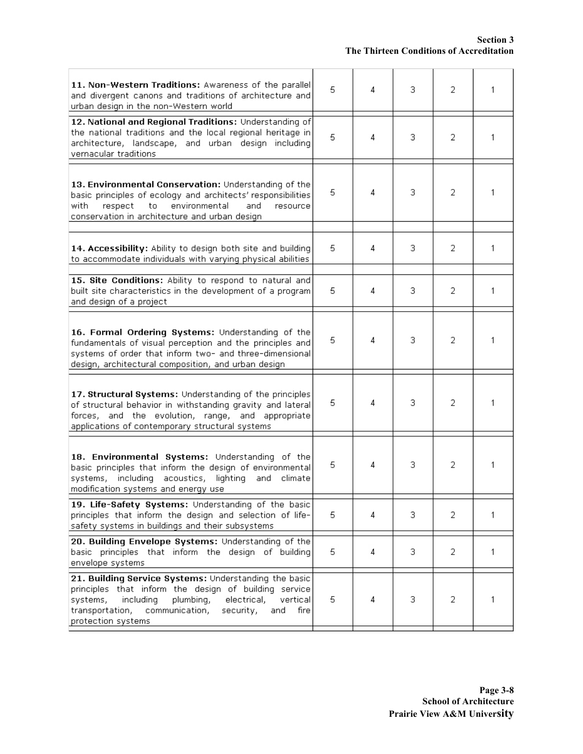| 11. Non-Western Traditions: Awareness of the parallel<br>and divergent canons and traditions of architecture and<br>urban design in the non-Western world                                                                                                              |    | 4 | з  | 2 | 1 |
|------------------------------------------------------------------------------------------------------------------------------------------------------------------------------------------------------------------------------------------------------------------------|----|---|----|---|---|
| 12. National and Regional Traditions: Understanding of<br>the national traditions and the local regional heritage in<br>architecture, landscape, and urban design including<br>vernacular traditions                                                                   |    | 4 | 3  | 2 | 1 |
| 13. Environmental Conservation: Understanding of the<br>basic principles of ecology and architects' responsibilities<br>environmental<br>respect<br>to<br>and<br>with.<br>resource<br>conservation in architecture and urban design                                    |    | 4 | 3. | 2 |   |
| 14. Accessibility: Ability to design both site and building<br>to accommodate individuals with varying physical abilities                                                                                                                                              | 5. | 4 | з  | 2 | 1 |
| 15. Site Conditions: Ability to respond to natural and<br>built site characteristics in the development of a program<br>and design of a project                                                                                                                        | 5  | 4 | з  | 2 | 1 |
| 16. Formal Ordering Systems: Understanding of the<br>fundamentals of visual perception and the principles and<br>systems of order that inform two- and three-dimensional<br>design, architectural composition, and urban design                                        | 5  | 4 | з  | 2 | 1 |
| 17. Structural Systems: Understanding of the principles<br>of structural behavior in withstanding gravity and lateral<br>forces, and the evolution, range, and appropriate<br>applications of contemporary structural systems                                          | 5  | 4 | з  | 2 | 1 |
| 18. Environmental Systems: Understanding of the<br>basic principles that inform the design of environmental<br>including acoustics, lighting<br>systems,<br>and<br>climate<br>modification systems and energy use                                                      |    | 4 | з  | 2 | 1 |
| 19. Life-Safety Systems: Understanding of the basic<br>principles that inform the design and selection of life-<br>safety systems in buildings and their subsystems                                                                                                    |    | 4 | з  | 2 | 1 |
| 20. Building Envelope Systems: Understanding of the<br>basic principles that inform the design of building<br>envelope systems                                                                                                                                         |    | 4 | 3  | 2 | 1 |
| 21. Building Service Systems: Understanding the basic<br>principles that inform the design of building service<br>systems,<br>including<br>plumbing,<br>electrical,<br>vertical<br>transportation,<br>communication,<br>security,<br>and<br>fire<br>protection systems |    | 4 | 3  | 2 | 1 |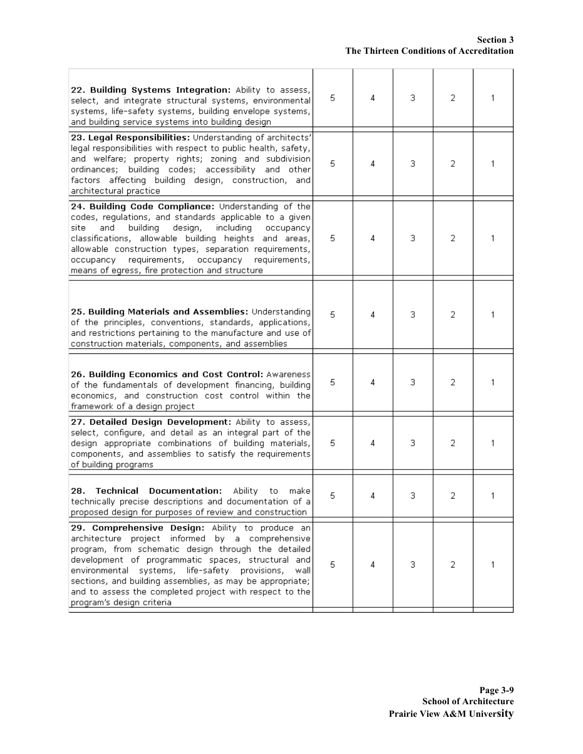| 22. Building Systems Integration: Ability to assess,<br>select, and integrate structural systems, environmental<br>systems, life-safety systems, building envelope systems,<br>and building service systems into building design                                                                                                                                                                                                | 5 | 4 | 3  | 2 | 1 |
|---------------------------------------------------------------------------------------------------------------------------------------------------------------------------------------------------------------------------------------------------------------------------------------------------------------------------------------------------------------------------------------------------------------------------------|---|---|----|---|---|
| 23. Legal Responsibilities: Understanding of architects'<br>legal responsibilities with respect to public health, safety,<br>and welfare; property rights; zoning and subdivision<br>ordinances; building codes; accessibility and other<br>factors affecting building design, construction, and<br>architectural practice                                                                                                      | 5 | 4 | 3. | 2 | 1 |
| 24. Building Code Compliance: Understanding of the<br>codes, regulations, and standards applicable to a given<br>building<br>design,<br>including<br>site<br>and<br>occupancy<br>classifications, allowable building heights and areas,<br>allowable construction types, separation requirements,<br>requirements,<br>occupancy<br>occupancy requirements,<br>means of egress, fire protection and structure                    | 5 | 4 | з  | 2 | 1 |
| 25. Building Materials and Assemblies: Understanding<br>of the principles, conventions, standards, applications,<br>and restrictions pertaining to the manufacture and use of<br>construction materials, components, and assemblies                                                                                                                                                                                             | 5 | 4 | 3  | 2 | 1 |
| 26. Building Economics and Cost Control: Awareness<br>of the fundamentals of development financing, building<br>economics, and construction cost control within the<br>framework of a design project                                                                                                                                                                                                                            | 5 | 4 | З  | 2 | 1 |
| 27. Detailed Design Development: Ability to assess,<br>select, configure, and detail as an integral part of the<br>design appropriate combinations of building materials,<br>components, and assemblies to satisfy the requirements<br>of building programs                                                                                                                                                                     | 5 | 4 | 3  | 2 | 1 |
| <b>Technical</b><br><b>Documentation:</b><br><b>Ability</b><br>28.<br>make<br>to<br>technically precise descriptions and documentation of a<br>proposed design for purposes of review and construction                                                                                                                                                                                                                          | 5 | 4 | 3. | 2 |   |
| 29. Comprehensive Design: Ability to produce an<br>architecture project informed by a comprehensive<br>program, from schematic design through the detailed<br>development of programmatic spaces, structural and<br>environmental systems, life-safety provisions,<br>wall<br>sections, and building assemblies, as may be appropriate;<br>and to assess the completed project with respect to the<br>program's design criteria | 5 | 4 | 3  | 2 | 1 |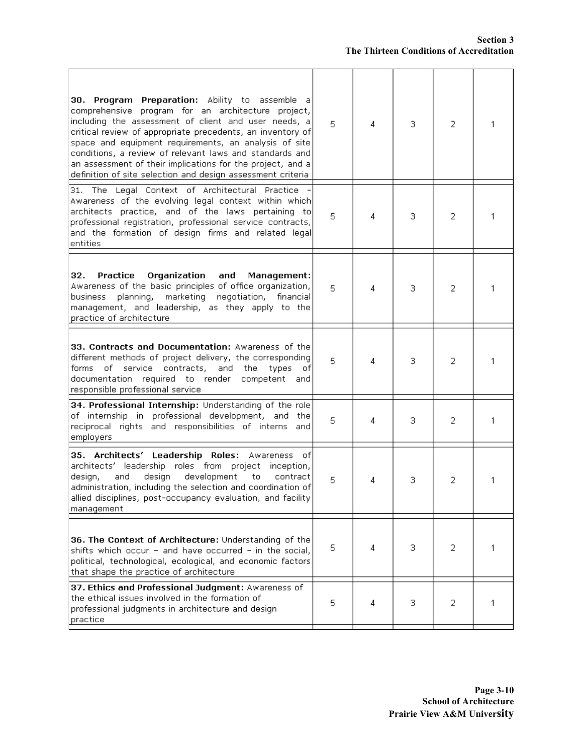| 30. Program Preparation: Ability to assemble a<br>comprehensive program for an architecture project,<br>including the assessment of client and user needs, a<br>critical review of appropriate precedents, an inventory of<br>space and equipment requirements, an analysis of site<br>conditions, a review of relevant laws and standards and<br>an assessment of their implications for the project, and a<br>definition of site selection and design assessment criteria | 5. | 4 | 3  | 2 | 1 |
|-----------------------------------------------------------------------------------------------------------------------------------------------------------------------------------------------------------------------------------------------------------------------------------------------------------------------------------------------------------------------------------------------------------------------------------------------------------------------------|----|---|----|---|---|
| 31. The Legal Context of Architectural Practice<br>Awareness of the evolving legal context within which<br>architects practice, and of the laws pertaining to<br>professional registration, professional service contracts,<br>and the formation of design firms and related legal<br>entities                                                                                                                                                                              | 5  | 4 | з  | 2 | 1 |
| Practice<br>Organization<br>32.<br>and<br>Management:<br>Awareness of the basic principles of office organization,<br>marketing<br>planning,<br>negotiation,<br>business<br>financial<br>management, and leadership, as they apply to the<br>practice of architecture                                                                                                                                                                                                       | 5  | 4 | з  | 2 | 1 |
| 33. Contracts and Documentation: Awareness of the<br>different methods of project delivery, the corresponding<br>service contracts, and the<br>types<br>forms of<br>οf<br>documentation required to render<br>competent and<br>responsible professional service                                                                                                                                                                                                             | 5  | 4 | з  | 2 | 1 |
| 34. Professional Internship: Understanding of the role<br>of internship in professional development, and the<br>reciprocal rights and responsibilities of interns and<br>employers                                                                                                                                                                                                                                                                                          | 5  | 4 | з  | 2 | 1 |
| 35. Architects' Leadership Roles: Awareness of<br>architects' leadership roles from project inception,<br>design<br>development<br>design,<br>and<br>to<br>contract<br>administration, including the selection and coordination of<br>allied disciplines, post-occupancy evaluation, and facility <br>management                                                                                                                                                            |    | 4 | 3. | 2 | 1 |
| 36. The Context of Architecture: Understanding of the<br>shifts which occur - and have occurred - in the social,<br>political, technological, ecological, and economic factors<br>that shape the practice of architecture                                                                                                                                                                                                                                                   |    | 4 | 3  | 2 | 1 |
| 37. Ethics and Professional Judgment: Awareness of<br>the ethical issues involved in the formation of<br>professional judgments in architecture and design<br>practice                                                                                                                                                                                                                                                                                                      | 5  | 4 | з. | 2 | 1 |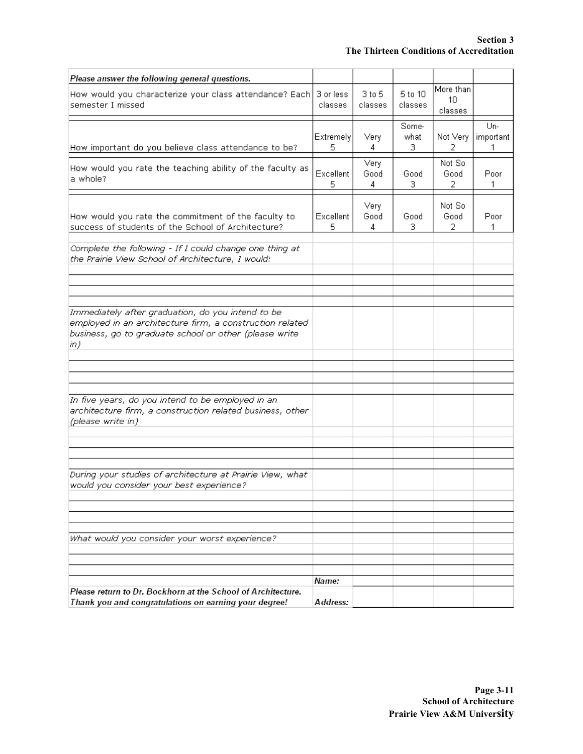| Please answer the following general questions.                                                                                                                                 |                      |                   |                    |                                  |                       |
|--------------------------------------------------------------------------------------------------------------------------------------------------------------------------------|----------------------|-------------------|--------------------|----------------------------------|-----------------------|
| How would you characterize your class attendance? Each<br>semester I missed                                                                                                    | 3 or less<br>classes | 3 to 5<br>classes | 5 to 10<br>classes | More than<br>$1 \cap$<br>classes |                       |
| How important do you believe class attendance to be?                                                                                                                           | Extremely<br>5.      | Very<br>4         | Some-<br>what<br>3 | Not Very<br>2                    | Un-<br>important<br>1 |
| How would you rate the teaching ability of the faculty as<br>a whole?                                                                                                          | Excellent<br>5       | Very<br>Good<br>4 | Good<br>з          | Not So<br>Good<br>2.             | Poor<br>1             |
| How would you rate the commitment of the faculty to<br>success of students of the School of Architecture?                                                                      | Excellent<br>5       | Very<br>Good<br>4 | Good<br>3          | Not So<br>Good<br>2              | Poor<br>1             |
| Complete the following - If I could change one thing at<br>the Prairie View School of Architecture, I would:                                                                   |                      |                   |                    |                                  |                       |
|                                                                                                                                                                                |                      |                   |                    |                                  |                       |
|                                                                                                                                                                                |                      |                   |                    |                                  |                       |
| Immediately after graduation, do you intend to be<br>employed in an architecture firm, a construction related<br>business, go to graduate school or other (please write<br>in) |                      |                   |                    |                                  |                       |
|                                                                                                                                                                                |                      |                   |                    |                                  |                       |
|                                                                                                                                                                                |                      |                   |                    |                                  |                       |
| In five years, do you intend to be employed in an<br>architecture firm, a construction related business, other<br>(please write in)                                            |                      |                   |                    |                                  |                       |
|                                                                                                                                                                                |                      |                   |                    |                                  |                       |
| During your studies of architecture at Prairie View, what<br>would you consider your best experience?                                                                          |                      |                   |                    |                                  |                       |
|                                                                                                                                                                                |                      |                   |                    |                                  |                       |
|                                                                                                                                                                                |                      |                   |                    |                                  |                       |
| What would you consider your worst experience?                                                                                                                                 |                      |                   |                    |                                  |                       |
|                                                                                                                                                                                |                      |                   |                    |                                  |                       |
|                                                                                                                                                                                | Name.                |                   |                    |                                  |                       |
| Please return to Dr. Bockhorn at the School of Architecture.<br>Thank you and congratulations on earning your degree!                                                          | Address:             |                   |                    |                                  |                       |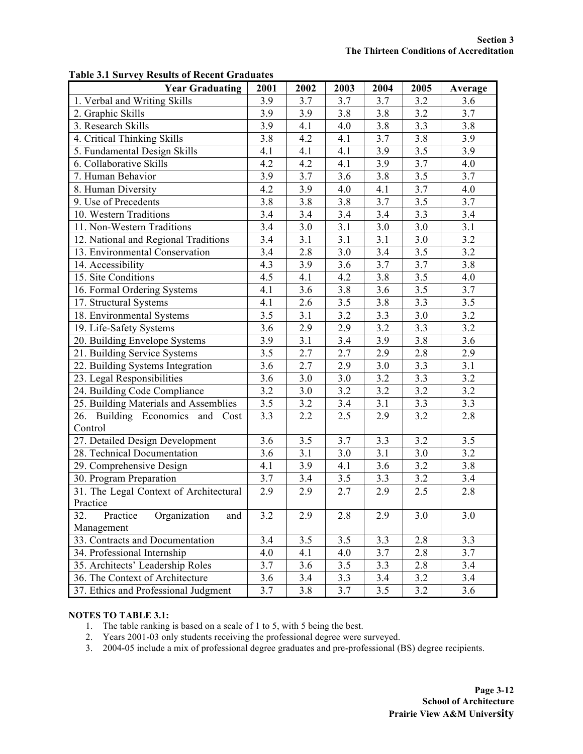| <b>Year Graduating</b>                 | 2001 | 2002             | 2003             | 2004 | 2005             | Average          |
|----------------------------------------|------|------------------|------------------|------|------------------|------------------|
| 1. Verbal and Writing Skills           | 3.9  | 3.7              | 3.7              | 3.7  | 3.2              | 3.6              |
| 2. Graphic Skills                      | 3.9  | 3.9              | 3.8              | 3.8  | 3.2              | 3.7              |
| 3. Research Skills                     | 3.9  | 4.1              | 4.0              | 3.8  | 3.3              | 3.8              |
| 4. Critical Thinking Skills            | 3.8  | 4.2              | 4.1              | 3.7  | 3.8              | 3.9              |
| 5. Fundamental Design Skills           | 4.1  | 4.1              | 4.1              | 3.9  | 3.5              | 3.9              |
| 6. Collaborative Skills                | 4.2  | 4.2              | 4.1              | 3.9  | 3.7              | 4.0              |
| 7. Human Behavior                      | 3.9  | 3.7              | 3.6              | 3.8  | 3.5              | 3.7              |
| 8. Human Diversity                     | 4.2  | 3.9              | 4.0              | 4.1  | 3.7              | 4.0              |
| 9. Use of Precedents                   | 3.8  | 3.8              | 3.8              | 3.7  | 3.5              | 3.7              |
| 10. Western Traditions                 | 3.4  | 3.4              | 3.4              | 3.4  | 3.3              | 3.4              |
| 11. Non-Western Traditions             | 3.4  | 3.0              | $\overline{3}.1$ | 3.0  | 3.0              | 3.1              |
| 12. National and Regional Traditions   | 3.4  | 3.1              | 3.1              | 3.1  | 3.0              | 3.2              |
| 13. Environmental Conservation         | 3.4  | 2.8              | 3.0              | 3.4  | 3.5              | 3.2              |
| 14. Accessibility                      | 4.3  | 3.9              | 3.6              | 3.7  | 3.7              | 3.8              |
| 15. Site Conditions                    | 4.5  | 4.1              | 4.2              | 3.8  | 3.5              | 4.0              |
| 16. Formal Ordering Systems            | 4.1  | 3.6              | 3.8              | 3.6  | 3.5              | 3.7              |
| 17. Structural Systems                 | 4.1  | 2.6              | 3.5              | 3.8  | 3.3              | 3.5              |
| 18. Environmental Systems              | 3.5  | 3.1              | 3.2              | 3.3  | 3.0              | 3.2              |
| 19. Life-Safety Systems                | 3.6  | 2.9              | 2.9              | 3.2  | 3.3              | 3.2              |
| 20. Building Envelope Systems          | 3.9  | $\overline{3.1}$ | 3.4              | 3.9  | $\overline{3.8}$ | $\overline{3.6}$ |
| 21. Building Service Systems           | 3.5  | 2.7              | 2.7              | 2.9  | $\overline{2.8}$ | 2.9              |
| 22. Building Systems Integration       | 3.6  | 2.7              | 2.9              | 3.0  | 3.3              | 3.1              |
| 23. Legal Responsibilities             | 3.6  | 3.0              | 3.0              | 3.2  | 3.3              | 3.2              |
| 24. Building Code Compliance           | 3.2  | 3.0              | 3.2              | 3.2  | 3.2              | 3.2              |
| 25. Building Materials and Assemblies  | 3.5  | $\overline{3.2}$ | 3.4              | 3.1  | 3.3              | 3.3              |
| 26. Building Economics and Cost        | 3.3  | 2.2              | 2.5              | 2.9  | 3.2              | 2.8              |
| Control                                |      |                  |                  |      |                  |                  |
| 27. Detailed Design Development        | 3.6  | 3.5              | 3.7              | 3.3  | 3.2              | 3.5              |
| 28. Technical Documentation            | 3.6  | 3.1              | 3.0              | 3.1  | 3.0              | 3.2              |
| 29. Comprehensive Design               | 4.1  | 3.9              | 4.1              | 3.6  | 3.2              | 3.8              |
| 30. Program Preparation                | 3.7  | 3.4              | 3.5              | 3.3  | $3.2$            | 3.4              |
| 31. The Legal Context of Architectural | 2.9  | 2.9              | 2.7              | 2.9  | 2.5              | 2.8              |
| Practice                               |      |                  |                  |      |                  |                  |
| Organization<br>32.<br>Practice<br>and | 3.2  | 2.9              | 2.8              | 2.9  | 3.0              | 3.0              |
| Management                             |      |                  |                  |      |                  |                  |
| 33. Contracts and Documentation        | 3.4  | 3.5              | 3.5              | 3.3  | 2.8              | 3.3              |
| 34. Professional Internship            | 4.0  | 4.1              | 4.0              | 3.7  | 2.8              | 3.7              |
| 35. Architects' Leadership Roles       | 3.7  | 3.6              | 3.5              | 3.3  | 2.8              | 3.4              |
| 36. The Context of Architecture        | 3.6  | 3.4              | 3.3              | 3.4  | 3.2              | 3.4              |
| 37. Ethics and Professional Judgment   | 3.7  | 3.8              | 3.7              | 3.5  | 3.2              | 3.6              |

### **Table 3.1 Survey Results of Recent Graduates**

#### **NOTES TO TABLE 3.1:**

- 1. The table ranking is based on a scale of 1 to 5, with 5 being the best.
- 2. Years 2001-03 only students receiving the professional degree were surveyed.
- 3. 2004-05 include a mix of professional degree graduates and pre-professional (BS) degree recipients.